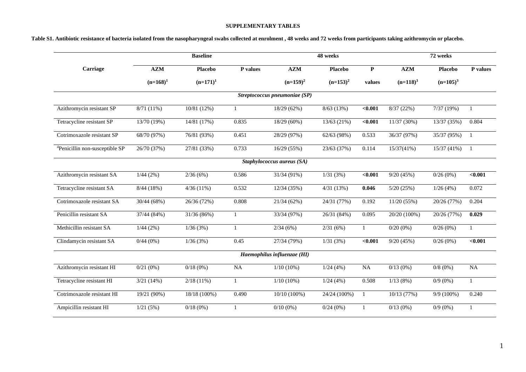# **SUPPLEMENTARY TABLES**

| Table S1. Antibiotic resistance of bacteria isolated from the nasopharyngeal swabs collected at enrolment , 48 weeks and 72 weeks from participants taking azithromycin or placebo. |  |  |
|-------------------------------------------------------------------------------------------------------------------------------------------------------------------------------------|--|--|
|                                                                                                                                                                                     |  |  |

|                                            |              | <b>Baseline</b>        |              |                               | 48 weeks       |              |              | 72 weeks       |              |
|--------------------------------------------|--------------|------------------------|--------------|-------------------------------|----------------|--------------|--------------|----------------|--------------|
| Carriage                                   | A Z M        | <b>Placebo</b>         | P values     | A Z M                         | <b>Placebo</b> | $\mathbf{P}$ | A Z M        | <b>Placebo</b> | P values     |
|                                            | $(n=168)^1$  | $(n=171)^1$            |              | $(n=159)^2$                   | $(n=153)^2$    | values       | $(n=118)^3$  | $(n=105)^3$    |              |
|                                            |              |                        |              | Streptococcus pneumoniae (SP) |                |              |              |                |              |
| Azithromycin resistant SP                  | $8/71(11\%)$ | 10/81 (12%)            | $\mathbf{1}$ | 18/29 (62%)                   | 8/63(13%)      | < 0.001      | 8/37(22%)    | 7/37(19%)      | $\mathbf{1}$ |
| Tetracycline resistant SP                  | 13/70 (19%)  | 14/81 (17%)            | 0.835        | 18/29 (60%)                   | 13/63 (21%)    | $0.001$      | 11/37(30%)   | 13/37 (35%)    | 0.804        |
| Cotrimoxazole resistant SP                 | 68/70 (97%)  | 76/81 (93%)            | 0.451        | 28/29 (97%)                   | 62/63 (98%)    | 0.533        | 36/37 (97%)  | 35/37 (95%)    | $\mathbf{1}$ |
| <sup>4</sup> Penicillin non-susceptible SP | 26/70 (37%)  | 27/81 (33%)            | 0.733        | 16/29 (55%)                   | 23/63 (37%)    | 0.114        | 15/37(41%)   | 15/37(41%)     | $\mathbf{1}$ |
|                                            |              |                        |              | Staphylococcus aureus (SA)    |                |              |              |                |              |
| Azithromycin resistant SA                  | 1/44(2%)     | 2/36(6%)               | 0.586        | 31/34 (91%)                   | 1/31(3%)       | $0.001$      | 9/20(45%)    | 0/26(0%)       | $0.001$      |
| Tetracycline resistant SA                  | 8/44(18%)    | 4/36(11%)              | 0.532        | 12/34 (35%)                   | 4/31(13%)      | 0.046        | 5/20(25%)    | 1/26(4%)       | 0.072        |
| Cotrimoxazole resistant SA                 | 30/44 (68%)  | 26/36 (72%)            | 0.808        | 21/34(62%)                    | 24/31 (77%)    | 0.192        | 11/20(55%)   | 20/26 (77%)    | 0.204        |
| Penicillin resistant SA                    | 37/44 (84%)  | 31/36 (86%)            | 1            | 33/34 (97%)                   | 26/31 (84%)    | 0.095        | 20/20 (100%) | 20/26 (77%)    | 0.029        |
| Methicillin resistant SA                   | 1/44(2%)     | 1/36(3%)               | $\mathbf{1}$ | 2/34(6%)                      | 2/31(6%)       | $\mathbf{1}$ | $0/20(0\%)$  | 0/26(0%)       | $\mathbf{1}$ |
| Clindamycin resistant SA                   | 0/44(0%)     | 1/36(3%)               | 0.45         | 27/34 (79%)                   | 1/31(3%)       | < 0.001      | 9/20(45%)    | 0/26(0%)       | $0.001$      |
|                                            |              |                        |              | Haemophilus influenzae (HI)   |                |              |              |                |              |
| Azithromycin resistant HI                  | 0/21(0%)     | 0/18(0%)               | $\rm NA$     | $1/10(10\%)$                  | 1/24(4%)       | NA           | 0/13(0%)     | $0/8(0\%)$     | <b>NA</b>    |
| Tetracycline resistant HI                  | 3/21(14%)    | $2/18(11\%)$           | $\mathbf{1}$ | $1/10(10\%)$                  | 1/24(4%)       | 0.508        | 1/13(8%)     | $0/9(0\%)$     | $\mathbf{1}$ |
| Cotrimoxazole resistant HI                 | 19/21 (90%)  | 18/18 (100%)           | 0.490        | 10/10 (100%)                  | 24/24 (100%)   | 1            | 10/13(77%)   | 9/9 (100%)     | 0.240        |
| Ampicillin resistant HI                    | 1/21(5%)     | $\overline{0/18}(0\%)$ |              | $0/10(0\%)$                   | 0/24(0%)       | 1            | 0/13(0%)     | $0/9(0\%)$     | $\mathbf{1}$ |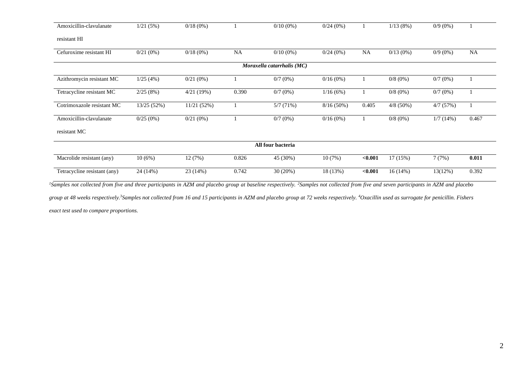| Amoxicillin-clavulanate      | 1/21(5%)    | $0/18(0\%)$ |           | $0/10(0\%)$                | 0/24(0%)     |           | 1/13(8%)    | $0/9(0\%)$ |           |
|------------------------------|-------------|-------------|-----------|----------------------------|--------------|-----------|-------------|------------|-----------|
| resistant HI                 |             |             |           |                            |              |           |             |            |           |
| Cefuroxime resistant HI      | $0/21(0\%)$ | $0/18(0\%)$ | <b>NA</b> | $0/10(0\%)$                | 0/24(0%)     | <b>NA</b> | $0/13(0\%)$ | $0/9(0\%)$ | <b>NA</b> |
|                              |             |             |           | Moraxella catarrhalis (MC) |              |           |             |            |           |
| Azithromycin resistant MC    | 1/25(4%)    | $0/21(0\%)$ |           | $0/7$ (0%)                 | $0/16(0\%)$  |           | $0/8(0\%)$  | $0/7(0\%)$ |           |
| Tetracycline resistant MC    | 2/25(8%)    | 4/21(19%)   | 0.390     | $0/7$ (0%)                 | 1/16(6%)     |           | $0/8(0\%)$  | $0/7(0\%)$ |           |
| Cotrimoxazole resistant MC   | 13/25 (52%) | 11/21(52%)  |           | 5/7(71%)                   | $8/16(50\%)$ | 0.405     | $4/8$ (50%) | 4/7(57%)   |           |
| Amoxicillin-clavulanate      | 0/25(0%)    | $0/21(0\%)$ |           | $0/7$ (0%)                 | $0/16(0\%)$  |           | $0/8(0\%)$  | 1/7(14%)   | 0.467     |
| resistant MC                 |             |             |           |                            |              |           |             |            |           |
|                              |             |             |           | All four bacteria          |              |           |             |            |           |
| Macrolide resistant (any)    | 10(6%)      | 12(7%)      | 0.826     | 45 (30%)                   | 10(7%)       | < 0.001   | 17(15%)     | 7(7%)      | 0.011     |
| Tetracycline resistant (any) | 24 (14%)    | 23 (14%)    | 0.742     | 30(20%)                    | 18 (13%)     | < 0.001   | 16 (14%)    | 13(12%)    | 0.392     |

group at 48 weeks respectively.<sup>3</sup>Samples not collected from 16 and 15 participants in AZM and placebo group at 72 weeks respectively. <sup>4</sup>Oxacillin used as surrogate for penicillin. Fishers

*exact test used to compare proportions.*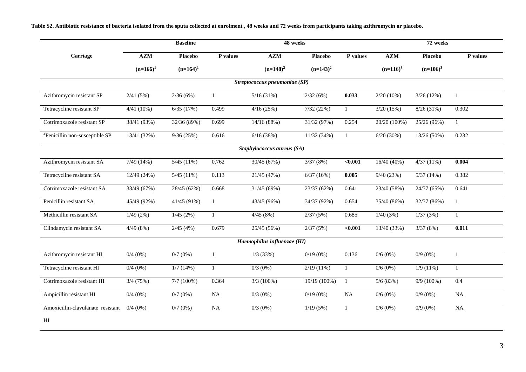**Table S2. Antibiotic resistance of bacteria isolated from the sputa collected at enrolment , 48 weeks and 72 weeks from participants taking azithromycin or placebo.**

|                                            |              | <b>Baseline</b> |              |                               | 48 weeks       |                |              | 72 weeks       |                  |
|--------------------------------------------|--------------|-----------------|--------------|-------------------------------|----------------|----------------|--------------|----------------|------------------|
| Carriage                                   | A Z M        | <b>Placebo</b>  | P values     | A Z M                         | <b>Placebo</b> | P values       | A Z M        | <b>Placebo</b> | P values         |
|                                            | $(n=166)^1$  | $(n=164)^1$     |              | $(n=148)^2$                   | $(n=143)^2$    |                | $(n=116)^3$  | $(n=106)^3$    |                  |
|                                            |              |                 |              | Streptococcus pneumoniae (SP) |                |                |              |                |                  |
| Azithromycin resistant SP                  | 2/41(5%)     | 2/36(6%)        | $\mathbf{1}$ | 5/16(31%)                     | 2/32(6%)       | 0.033          | $2/20(10\%)$ | 3/26(12%)      | $\mathbf{1}$     |
| Tetracycline resistant SP                  | $4/41(10\%)$ | 6/35(17%)       | 0.499        | 4/16(25%)                     | 7/32(22%)      | $\mathbf{1}$   | 3/20(15%)    | 8/26(31%)      | 0.302            |
| Cotrimoxazole resistant SP                 | 38/41 (93%)  | 32/36 (89%)     | 0.699        | 14/16(88%)                    | 31/32 (97%)    | 0.254          | 20/20 (100%) | 25/26 (96%)    | $\mathbf{1}$     |
| <sup>4</sup> Penicillin non-susceptible SP | 13/41 (32%)  | 9/36(25%)       | 0.616        | 6/16(38%)                     | 11/32(34%)     | $\mathbf{1}$   | 6/20(30%)    | 13/26 (50%)    | 0.232            |
|                                            |              |                 |              | Staphylococcus aureus (SA)    |                |                |              |                |                  |
| Azithromycin resistant SA                  | 7/49(14%)    | 5/45(11%)       | 0.762        | 30/45 (67%)                   | 3/37(8%)       | < 0.001        | 16/40 (40%)  | 4/37(11%)      | 0.004            |
| Tetracycline resistant SA                  | 12/49 (24%)  | 5/45(11%)       | 0.113        | 21/45 (47%)                   | 6/37(16%)      | 0.005          | 9/40(23%)    | 5/37(14%)      | 0.382            |
| Cotrimoxazole resistant SA                 | 33/49 (67%)  | 28/45 (62%)     | 0.668        | 31/45 (69%)                   | 23/37 (62%)    | 0.641          | 23/40 (58%)  | 24/37 (65%)    | 0.641            |
| Penicillin resistant SA                    | 45/49 (92%)  | 41/45 (91%)     |              | 43/45 (96%)                   | 34/37 (92%)    | 0.654          | 35/40 (86%)  | 32/37 (86%)    | $\mathbf{1}$     |
| Methicillin resistant SA                   | 1/49(2%)     | 1/45(2%)        | $\mathbf{1}$ | 4/45(8%)                      | 2/37(5%)       | 0.685          | 1/40(3%)     | 1/37(3%)       | $\mathbf{1}$     |
| Clindamycin resistant SA                   | 4/49(8%)     | 2/45(4%)        | 0.679        | 25/45 (56%)                   | 2/37(5%)       | $0.001$        | 13/40 (33%)  | 3/37(8%)       | 0.011            |
|                                            |              |                 |              | Haemophilus influenzae (HI)   |                |                |              |                |                  |
| Azithromycin resistant HI                  | $0/4(0\%)$   | $0/7(0\%)$      | $\mathbf{1}$ | $1/3$ (33%)                   | $0/19(0\%)$    | 0.136          | $0/6(0\%)$   | $0/9(0\%)$     | $\mathbf{1}$     |
| Tetracycline resistant HI                  | $0/4(0\%)$   | 1/7(14%)        | $\mathbf{1}$ | $0/3(0\%)$                    | $2/19(11\%)$   | -1             | $0/6(0\%)$   | 1/9(11%)       | $\mathbf{1}$     |
| Cotrimoxazole resistant HI                 | 3/4(75%)     | 7/7(100%)       | 0.364        | $3/3(100\%)$                  | 19/19 (100%)   | $\overline{1}$ | 5/6(83%)     | $9/9(100\%)$   | $\overline{0.4}$ |
| Ampicillin resistant HI                    | $0/4(0\%)$   | $0/7(0\%)$      | NA           | $0/3(0\%)$                    | $0/19(0\%)$    | NA             | $0/6(0\%)$   | $0/9(0\%)$     | NA               |
| Amoxicillin-clavulanate resistant          | $0/4(0\%)$   | $0/7(0\%)$      | <b>NA</b>    | $0/3$ (0%)                    | 1/19(5%)       | $\mathbf{1}$   | $0/6(0\%)$   | $0/9(0\%)$     | <b>NA</b>        |
| HI                                         |              |                 |              |                               |                |                |              |                |                  |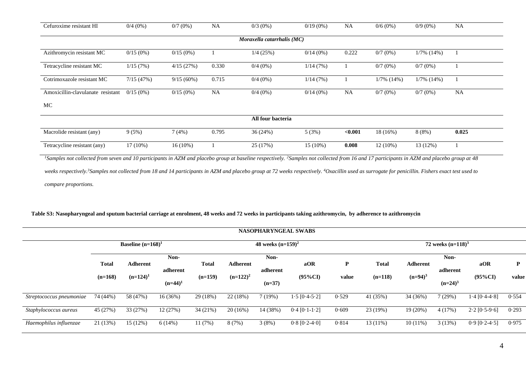| Cefuroxime resistant HI           | $0/4(0\%)$  | $0/7(0\%)$   | <b>NA</b> | $0/3$ (0%)                 | $0/19(0\%)$ | <b>NA</b> | $0/6(0\%)$    | $0/9(0\%)$    | <b>NA</b> |
|-----------------------------------|-------------|--------------|-----------|----------------------------|-------------|-----------|---------------|---------------|-----------|
|                                   |             |              |           | Moraxella catarrhalis (MC) |             |           |               |               |           |
| Azithromycin resistant MC         | $0/15(0\%)$ | $0/15(0\%)$  |           | $1/4$ (25%)                | $0/14(0\%)$ | 0.222     | $0/7(0\%)$    | $1/7\%$ (14%) |           |
| Tetracycline resistant MC         | 1/15(7%)    | 4/15(27%)    | 0.330     | $0/4(0\%)$                 | 1/14(7%)    |           | $0/7(0\%)$    | $0/7(0\%)$    |           |
| Cotrimoxazole resistant MC        | 7/15(47%)   | $9/15(60\%)$ | 0.715     | $0/4(0\%)$                 | 1/14(7%)    |           | $1/7\%$ (14%) | $1/7\%$ (14%) |           |
| Amoxicillin-clavulanate resistant | $0/15(0\%)$ | $0/15(0\%)$  | <b>NA</b> | $0/4(0\%)$                 | $0/14(0\%)$ | <b>NA</b> | $0/7(0\%)$    | $0/7(0\%)$    | <b>NA</b> |
| MC                                |             |              |           |                            |             |           |               |               |           |
|                                   |             |              |           | All four bacteria          |             |           |               |               |           |
| Macrolide resistant (any)         | 9(5%)       | 7(4%)        | 0.795     | 36(24%)                    | 5(3%)       | < 0.001   | 18 (16%)      | 8(8%)         | 0.025     |
| Tetracycline resistant (any)      | $17(10\%)$  | $16(10\%)$   |           | 25 (17%)                   | $15(10\%)$  | 0.008     | $12(10\%)$    | 13(12%)       |           |

<sup>1</sup>*Samples not collected from seven and 10 participants in AZM and placebo group at baseline respectively. <sup>2</sup><i>Samples not collected from 16 and 17 participants in AZM and placebo group at 48* 

weeks respectively.<sup>3</sup>Samples not collected from 18 and 14 participants in AZM and placebo group at 72 weeks respectively. <sup>4</sup>Oxacillin used as surrogate for penicillin. Fishers exact test used to *compare proportions.*

# **Table S3: Nasopharyngeal and sputum bacterial carriage at enrolment, 48 weeks and 72 weeks in participants taking azithromycin, by adherence to azithromycin**

|                          | <b>NASOPHARYNGEAL SWABS</b> |                      |                        |              |                 |                      |                 |       |              |                 |                        |                 |              |
|--------------------------|-----------------------------|----------------------|------------------------|--------------|-----------------|----------------------|-----------------|-------|--------------|-----------------|------------------------|-----------------|--------------|
|                          |                             | Baseline $(n=168)^1$ |                        |              |                 | 48 weeks $(n=159)^2$ |                 |       |              |                 | 72 weeks $(n=118)^3$   |                 |              |
|                          | <b>Total</b>                | <b>Adherent</b>      | Non-                   | <b>Total</b> | <b>Adherent</b> | Non-                 | aOR             | P     | <b>Total</b> | <b>Adherent</b> | Non-                   | aOR             | $\mathbf{P}$ |
|                          | $(n=168)$                   | $(n=124)^1$          | adherent<br>$(n=44)^1$ | $(n=159)$    | $(n=122)^2$     | adherent<br>$(n=37)$ | $(95\%CI)$      | value | $(n=118)$    | $(n=94)^3$      | adherent<br>$(n=24)^3$ | $(95\%CI)$      | value        |
| Streptococcus pneumoniae | 74 (44%)                    | 58 (47%)             | 16(36%)                | 29 (18%)     | 22(18%)         | 7(19%)               | $1.5$ [0.4-5.2] | 0.529 | 41 (35%)     | 34 (36%)        | 7(29%)                 | $1.4$ [0.4-4.8] | 0.554        |
| Staphylococcus aureus    | 45 (27%)                    | 33 (27%)             | 12(27%)                | 34(21%)      | 20(16%)         | 14 (38%)             | $0.4$ [0.1-1.2] | 0.609 | 23 (19%)     | 19 (20%)        | 4(17%)                 | $2.2$ [0.5-9.6] | 0.293        |
| Haemophilus influenzae   | 21 (13%)                    | 15 (12%)             | 6(14%)                 | 11(7%)       | 8(7%)           | 3(8%)                | $0.8$ [0.2-4.0] | 0.814 | $13(11\%)$   | $10(11\%)$      | 3(13%)                 | $0.9$ [0.2-4.5] | 0.975        |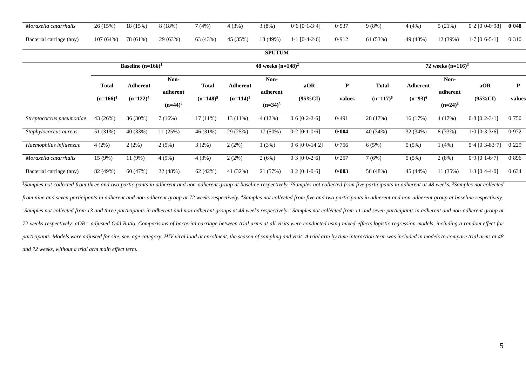| Moraxella catarrhalis   | 26 (15%) | 18 (15%) | 8 (18%)  | 7(4%     | 4(3%)    | $(8\%$   | $0.6$ $[0.1 - 3.4]$ | 0.537 | 9(8% )   | 4 (4%    | $(21\%)$ | $0.2$ [0.0-0.98]                    | 0.048 |
|-------------------------|----------|----------|----------|----------|----------|----------|---------------------|-------|----------|----------|----------|-------------------------------------|-------|
| Bacterial carriage (any | 107(64%) | 78 (61%) | 29 (63%) | 63 (43%) | 45 (35%) | 18 (49%) | $1 [0.4-2.6]$       | 0.912 | $(53\%)$ | 49 (48%) | 12 (39%) | $\cdot$ 7 [0 $\cdot$ 6-5 $\cdot$ 1] | 0.310 |

# **SPUTUM**

|                                                                                                                                                                                                                                                       |              | Baseline $(n=166)^1$ |                        |              |                 | 48 weeks $(n=148)^2$   |                      |        |              |            | 72 weeks $(n=116)^3$   |                   |             |
|-------------------------------------------------------------------------------------------------------------------------------------------------------------------------------------------------------------------------------------------------------|--------------|----------------------|------------------------|--------------|-----------------|------------------------|----------------------|--------|--------------|------------|------------------------|-------------------|-------------|
|                                                                                                                                                                                                                                                       | <b>Total</b> | Adherent             | Non-                   | <b>Total</b> | <b>Adherent</b> | Non-                   | aOR                  | P      | <b>Total</b> | Adherent   | Non-                   | aOR               | $\mathbf P$ |
|                                                                                                                                                                                                                                                       | $(n=166)^4$  | $(n=122)^4$          | adherent<br>$(n=44)^4$ | $(n=148)^5$  | $(n=114)^5$     | adherent<br>$(n=34)^5$ | $(95\%CI)$           | values | $(n=117)^6$  | $(n=93)^6$ | adherent<br>$(n=24)^6$ | $(95\%CI)$        | values      |
| Streptococcus pneumoniae                                                                                                                                                                                                                              | 43 (26%)     | 36 (30%)             | 7(16%)                 | 17(11%)      | 13 (11%)        | 4(12%)                 | $0.6 [0.2 - 2.6]$    | 0.491  | 20 (17%)     | 16 (17%)   | 4(17%)                 | $0.8 [0.2 - 3.1]$ | 0.750       |
| Staphylococcus aureus                                                                                                                                                                                                                                 | 51 (31%)     | 40 (33%)             | 11(25%)                | 46 (31%)     | 29 (25%)        | 17 (50%)               | $0.2$ [0.1-0.6]      | 0.004  | 40 (34%)     | 32 (34%)   | 8 (33%)                | $1.0 [0.3-3.6]$   | 0.972       |
| Haemophilus influenzae                                                                                                                                                                                                                                | 4(2%)        | 2(2%)                | 2(5%)                  | 3(2%)        | 2(2%)           | 1(3%)                  | $0.6$ [ $0.0-14.2$ ] | 0.756  | 6(5%)        | 5(5%)      | 1(4%)                  | $5.4$ [0.3-83.7]  | 0.229       |
| Moraxella catarrhalis                                                                                                                                                                                                                                 | 15 (9%)      | 11 (9%)              | 4 (9%)                 | 4(3%)        | 2(2%)           | 2(6%)                  | $0.3$ [ $0.0-2.6$ ]  | 0.257  | 7(6%)        | 5(5%)      | 2(8%)                  | $0.9$ [0.1-6.7]   | 0.896       |
| Bacterial carriage (any)                                                                                                                                                                                                                              | 82 (49%)     | 60 (47%)             | 22 (48%)               | 62 (42%)     | 41 (32%)        | 21 (57%)               | $0.2$ [0.1-0.6]      | 0.003  | 56 (48%)     | 45 (44%)   | 11 (35%)               | $1.3$ [0.4-4.0]   | 0.634       |
| <sup>1</sup> Samples not collected from three and two participants in adherent and non-adherent group at baseline respectively. <sup>2</sup> Samples not collected from five participants in adherent at 48 weeks. <sup>3</sup> Samples not collected |              |                      |                        |              |                 |                        |                      |        |              |            |                        |                   |             |
| from nine and seven participants in adherent and non-adherent group at 72 weeks respectively. <sup>4</sup> Samples not collected from five and two participants in adherent and non-adherent group at baseline respectively.                          |              |                      |                        |              |                 |                        |                      |        |              |            |                        |                   |             |
| <sup>5</sup> Samples not collected from 13 and three participants in adherent and non-adherent groups at 48 weeks respectively. <sup>6</sup> Samples not collected from 11 and seven participants in adherent and non-adherent group at               |              |                      |                        |              |                 |                        |                      |        |              |            |                        |                   |             |
| 72 weeks respectively. aOR= adjusted Odd Ratio. Comparisons of bacterial carriage between trial arms at all visits were conducted using mixed-effects logistic regression models, including a random effect for                                       |              |                      |                        |              |                 |                        |                      |        |              |            |                        |                   |             |
|                                                                                                                                                                                                                                                       |              |                      |                        |              |                 |                        |                      |        |              |            |                        |                   |             |

participants. Models were adjusted for site, sex, age category, HIV viral load at enrolment, the season of sampling and visit. A trial arm by time interaction term was included in models to compare trial arms at 48 *and 72 weeks, without a trial arm main effect term.*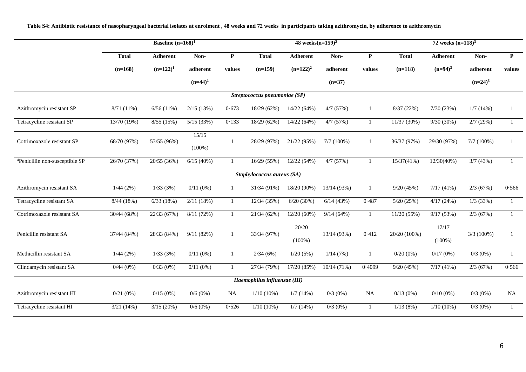**Table S4: Antibiotic resistance of nasopharyngeal bacterial isolates at enrolment , 48 weeks and 72 weeks in participants taking azithromycin, by adherence to azithromycin**

|                                            |              |             | 48 weeks $(n=159)^2$ |              |                               |                    | 72 weeks $(n=118)^3$ |                |              |                    |               |              |
|--------------------------------------------|--------------|-------------|----------------------|--------------|-------------------------------|--------------------|----------------------|----------------|--------------|--------------------|---------------|--------------|
|                                            | <b>Total</b> | Adherent    | Non-                 | $\mathbf{P}$ | <b>Total</b>                  | <b>Adherent</b>    | Non-                 | $\mathbf{P}$   | <b>Total</b> | Adherent           | Non-          | ${\bf P}$    |
|                                            | $(n=168)$    | $(n=122)^1$ | adherent             | values       | $(n=159)$                     | $(n=122)^2$        | $\!$ adherent        | values         | $(n=118)$    | $(n=94)^3$         | adherent      | values       |
|                                            |              |             | $(n=44)^1$           |              |                               |                    | $(n=37)$             |                |              |                    | $(n=24)^3$    |              |
|                                            |              |             |                      |              | Streptococcus pneumoniae (SP) |                    |                      |                |              |                    |               |              |
| Azithromycin resistant SP                  | $8/71(11\%)$ | 6/56(11%)   | 2/15(13%)            | 0.673        | 18/29 (62%)                   | 14/22 (64%)        | 4/7(57%)             | $\mathbf{1}$   | 8/37(22%)    | 7/30(23%)          | 1/7(14%)      |              |
| Tetracycline resistant SP                  | 13/70 (19%)  | 8/55(15%)   | 5/15(33%)            | 0.133        | 18/29 (62%)                   | 14/22 (64%)        | 4/7(57%)             | $\mathbf{1}$   | 11/37(30%)   | $9/30(30\%)$       | 2/7(29%)      | $\mathbf{1}$ |
| Cotrimoxazole resistant SP                 | 68/70 (97%)  | 53/55 (96%) | 15/15<br>$(100\%)$   | 1            | 28/29 (97%)                   | 21/22 (95%)        | $7/7(100\%)$         | $\mathbf{1}$   | 36/37 (97%)  | 29/30 (97%)        | $7/7(100\%)$  |              |
| <sup>4</sup> Penicillin non-susceptible SP | 26/70 (37%)  | 20/55 (36%) | 6/15(40%)            | 1            | 16/29(55%)                    | 12/22 (54%)        | 4/7(57%)             | $\overline{1}$ | 15/37(41%)   | 12/30(40%)         | 3/7(43%)      |              |
|                                            |              |             |                      |              | Staphylococcus aureus (SA)    |                    |                      |                |              |                    |               |              |
| Azithromycin resistant SA                  | 1/44(2%)     | 1/33(3%)    | $0/11(0\%)$          | 1            | 31/34 (91%)                   | 18/20 (90%)        | 13/14 (93%)          | $\overline{1}$ | 9/20(45%)    | $7/17(41\%)$       | 2/3(67%)      | 0.566        |
| Tetracycline resistant SA                  | 8/44(18%)    | 6/33(18%)   | 2/11(18%)            | $\mathbf{1}$ | 12/34 (35%)                   | 6/20(30%)          | 6/14(43%)            | 0.487          | 5/20(25%)    | 4/17(24%)          | $1/3$ (33%)   |              |
| Cotrimoxazole resistant SA                 | 30/44 (68%)  | 22/33 (67%) | 8/11(72%)            | $\mathbf{1}$ | 21/34 (62%)                   | 12/20 (60%)        | 9/14(64%)            | $\overline{1}$ | 11/20(55%)   | 9/17(53%)          | 2/3(67%)      |              |
| Penicillin resistant SA                    | 37/44 (84%)  | 28/33 (84%) | 9/11(82%)            | 1            | 33/34 (97%)                   | 20/20<br>$(100\%)$ | 13/14 (93%)          | 0.412          | 20/20 (100%) | 17/17<br>$(100\%)$ | $3/3(100\%)$  |              |
| Methicillin resistant SA                   | 1/44(2%)     | 1/33(3%)    | $0/11(0\%)$          | $\mathbf{1}$ | 2/34(6%)                      | 1/20(5%)           | 1/14(7%)             | 1              | $0/20(0\%)$  | 0/17(0%)           | $0/3$ $(0\%)$ |              |
| Clindamycin resistant SA                   | 0/44(0%)     | 0/33(0%)    | $0/11(0\%)$          | $\mathbf{1}$ | 27/34 (79%)                   | 17/20 (85%)        | 10/14(71%)           | 0.4099         | 9/20(45%)    | 7/17(41%)          | 2/3(67%)      | 0.566        |
|                                            |              |             |                      |              | Haemophilus influenzae (HI)   |                    |                      |                |              |                    |               |              |
| Azithromycin resistant HI                  | $0/21(0\%)$  | $0/15(0\%)$ | $0/6(0\%)$           | NA           | $1/10(10\%)$                  | 1/7(14%)           | $0/3$ (0%)           | <b>NA</b>      | $0/13(0\%)$  | $0/10(0\%)$        | $0/3$ (0%)    | NA           |
| Tetracycline resistant HI                  | 3/21(14%)    | 3/15(20%)   | $0/6(0\%)$           | 0.526        | $1/10(10\%)$                  | 1/7(14%)           | $0/3$ (0%)           | -1             | 1/13(8%)     | $1/10(10\%)$       | $0/3$ (0%)    |              |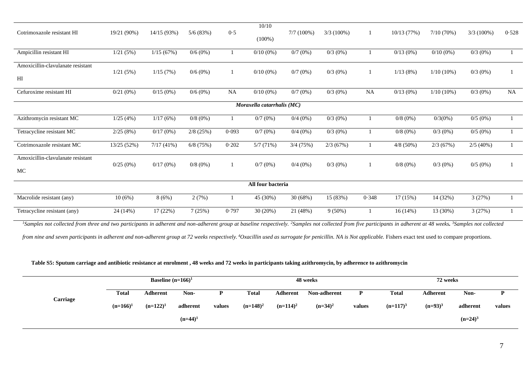|                                                                                                                                                                                                                                                                                            |             |             |             |           | 10/10                      |              |              |           |             |              |               |       |
|--------------------------------------------------------------------------------------------------------------------------------------------------------------------------------------------------------------------------------------------------------------------------------------------|-------------|-------------|-------------|-----------|----------------------------|--------------|--------------|-----------|-------------|--------------|---------------|-------|
| Cotrimoxazole resistant HI                                                                                                                                                                                                                                                                 | 19/21 (90%) | 14/15 (93%) | 5/6(83%)    | 0.5       | $(100\%)$                  | $7/7(100\%)$ | $3/3(100\%)$ |           | 10/13 (77%) | 7/10(70%)    | $3/3(100\%)$  | 0.528 |
| Ampicillin resistant HI                                                                                                                                                                                                                                                                    | 1/21(5%)    | 1/15(67%)   | $0/6(0\%)$  |           | $0/10(0\%)$                | $0/7(0\%)$   | $0/3(0\%)$   |           | $0/13(0\%)$ | $0/10(0\%)$  | $0/3$ (0%)    |       |
| Amoxicillin-clavulanate resistant                                                                                                                                                                                                                                                          |             |             |             |           |                            |              |              |           |             |              |               |       |
| H <sub>I</sub>                                                                                                                                                                                                                                                                             | 1/21(5%)    | 1/15(7%)    | $0/6(0\%)$  |           | $0/10(0\%)$                | $0/7(0\%)$   | $0/3$ $(0%)$ |           | 1/13(8%)    | $1/10(10\%)$ | $0/3$ $(0\%)$ |       |
| Cefuroxime resistant HI                                                                                                                                                                                                                                                                    | 0/21(0%)    | 0/15(0%)    | $0/6(0\%)$  | <b>NA</b> | $0/10(0\%)$                | $0/7(0\%)$   | $0/3$ (0%)   | <b>NA</b> | $0/13(0\%)$ | $1/10(10\%)$ | $0/3$ (0%)    | NA    |
|                                                                                                                                                                                                                                                                                            |             |             |             |           | Moraxella catarrhalis (MC) |              |              |           |             |              |               |       |
| Azithromycin resistant MC                                                                                                                                                                                                                                                                  | 1/25(4%)    | 1/17(6%)    | $0/8(0\%)$  |           | 0/7(0%)                    | $0/4(0\%)$   | $0/3(0\%)$   |           | $0/8(0\%)$  | $0/3(0\%)$   | 0/5(0%)       |       |
| Tetracycline resistant MC                                                                                                                                                                                                                                                                  | 2/25(8%)    | 0/17(0%)    | $2/8$ (25%) | 0.093     | 0/7(0%)                    | $0/4(0\%)$   | $0/3(0\%)$   |           | $0/8(0\%)$  | $0/3(0\%)$   | $0/5(0\%)$    |       |
| Cotrimoxazole resistant MC                                                                                                                                                                                                                                                                 | 13/25 (52%) | 7/17(41%)   | $6/8$ (75%) | 0.202     | 5/7(71%)                   | 3/4(75%)     | 2/3(67%)     |           | $4/8$ (50%) | 2/3(67%)     | 2/5(40%)      |       |
| Amoxicillin-clavulanate resistant                                                                                                                                                                                                                                                          |             |             |             |           |                            |              |              |           |             |              |               |       |
| MC                                                                                                                                                                                                                                                                                         | 0/25(0%)    | 0/17(0%)    | $0/8(0\%)$  |           | 0/7(0%)                    | $0/4(0\%)$   | $0/3$ (0%)   |           | $0/8(0\%)$  | $0/3$ (0%)   | $0/5(0\%)$    |       |
|                                                                                                                                                                                                                                                                                            |             |             |             |           | All four bacteria          |              |              |           |             |              |               |       |
| Macrolide resistant (any)                                                                                                                                                                                                                                                                  | 10(6%)      | 8(6%)       | 2(7%)       |           | 45 (30%)                   | 30 (68%)     | 15 (83%)     | 0.348     | 17(15%)     | 14 (32%)     | 3(27%)        |       |
| Tetracycline resistant (any)                                                                                                                                                                                                                                                               | 24 (14%)    | 17(22%)     | 7(25%)      | 0.797     | 30 (20%)                   | 21 (48%)     | $9(50\%)$    |           | 16(14%)     | 13 (30%)     | 3(27%)        |       |
| $\alpha$ , and a set off our decouples which we be allowed as a set of the discussion of the district of $\alpha$ and $\alpha$ and $\alpha$ and $\alpha$ and $\alpha$ and $\alpha$ and $\alpha$ and $\alpha$ and $\alpha$ and $\alpha$ and $\alpha$ and $\alpha$ and $\alpha$ and $\alpha$ |             |             |             |           |                            |              |              |           |             |              |               |       |

<sup>1</sup>Samples not collected from three and two participants in adherent and non-adherent group at baseline respectively. <sup>2</sup>Samples not collected from five participants in adherent at 48 weeks. <sup>3</sup>Samples not collected

from nine and seven participants in adherent and non-adherent group at 72 weeks respectively. <sup>4</sup>Oxacillin used as surrogate for penicillin. NA is Not applicable. Fishers exact test used to compare proportions.

## **Table S5: Sputum carriage and antibiotic resistance at enrolment , 48 weeks and 72 weeks in participants taking azithromycin, by adherence to azithromycin**

|          |             | Baseline $(n=166)^1$ |            |        |             |             | 48 weeks     |        |              | 72 weeks   |            |        |
|----------|-------------|----------------------|------------|--------|-------------|-------------|--------------|--------|--------------|------------|------------|--------|
|          | Total       | <b>Adherent</b>      | Non-       | p      | Total       | Adherent    | Non-adherent | P      | <b>Total</b> | Adherent   | Non-       | D      |
| Carriage | $(n=166)^1$ | $(n=122)^1$          | adherent   | values | $(n=148)^2$ | $(n=114)^2$ | $(n=34)^2$   | values | $(n=117)^3$  | $(n=93)^3$ | adherent   | values |
|          |             |                      | $(n=44)^1$ |        |             |             |              |        |              |            | $(n=24)^3$ |        |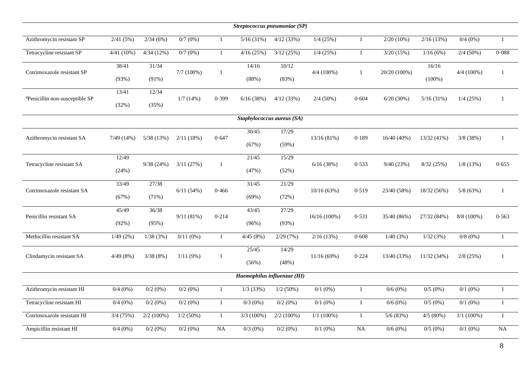| Streptococcus pneumoniae (SP)              |                |                |              |                 |                             |                |                |              |              |                    |              |                |
|--------------------------------------------|----------------|----------------|--------------|-----------------|-----------------------------|----------------|----------------|--------------|--------------|--------------------|--------------|----------------|
| Azithromycin resistant SP                  | 2/41(5%)       | 2/34(6%)       | $0/7(0\%)$   | $\mathbf{1}$    | 5/16(31%)                   | 4/12(33%)      | 1/4(25%)       | $\mathbf{1}$ | $2/20(10\%)$ | 2/16(13%)          | $0/4$ (0%)   | $\overline{1}$ |
| Tetracycline resistant SP                  | 4/41(10%)      | 4/34(12%)      | 0/7(0%)      | $\mathbf{1}$    | 4/16(25%)                   | 3/12(25%)      | $1/4$ (25%)    | $\mathbf{1}$ | 3/20(15%)    | 1/16(6%)           | $2/4(50\%)$  | 0.088          |
| Cotrimoxazole resistant SP                 | 38/41<br>(93%) | 31/34<br>(91%) | 7/7(100%)    | $\mathbf{1}$    | 14/16<br>(88%)              | 10/12<br>(83%) | $4/4(100\%)$   | $\mathbf{1}$ | 20/20 (100%) | 16/16<br>$(100\%)$ | $4/4$ (100%) | $\mathbf{1}$   |
| <sup>4</sup> Penicillin non-susceptible SP | 13/41<br>(32%) | 12/34<br>(35%) | 1/7(14%)     | 0.399           | 6/16(38%)                   | 4/12(33%)      | $2/4(50\%)$    | 0.604        | 6/20(30%)    | 5/16(31%)          | $1/4$ (25%)  | 1              |
|                                            |                |                |              |                 | Staphylococcus aureus (SA)  |                |                |              |              |                    |              |                |
| Azithromycin resistant SA                  | 7/49(14%)      | 5/38(13%)      | 2/11(18%)    | 0.647           | 30/45<br>(67%)              | 17/29<br>(59%) | 13/16 (81%)    | 0.189        | 16/40 (40%)  | 13/32 (41%)        | 3/8(38%)     | 1              |
| Tetracycline resistant SA                  | 12/49<br>(24%) | 9/38(24%)      | 3/11(27%)    | 1               | 21/45<br>(47%)              | 15/29<br>(52%) | 6/16(38%)      | 0.533        | 9/40(23%)    | 8/32(25%)          | $1/8$ (13%)  | 0.655          |
| Cotrimoxazole resistant SA                 | 33/49<br>(67%) | 27/38<br>(71%) | 6/11(54%)    | 0.466           | 31/45<br>(69%)              | 21/29<br>(72%) | 10/16(63%)     | 0.519        | 23/40 (58%)  | 18/32 (56%)        | 5/8(63%)     | $\mathbf{1}$   |
| Penicillin resistant SA                    | 45/49<br>(92%) | 36/38<br>(95%) | 9/11(81%)    | 0.214           | 43/45<br>(96%)              | 27/29<br>(93%) | $16/16(100\%)$ | 0.531        | 35/40 (86%)  | 27/32 (84%)        | 8/8 (100%)   | 0.563          |
| Methicillin resistant SA                   | 1/49(2%)       | 1/38(3%)       | $0/11(0\%)$  | $\mathbf{1}$    | 4/45(8%)                    | 2/29(7%)       | 2/16(13%)      | 0.608        | 1/40(3%)     | 1/32(3%)           | $0/8(0\%)$   | -1             |
| Clindamycin resistant SA                   | 4/49(8%)       | 3/38(8%)       | 1/11(9%)     | 1               | 25/45<br>(56%)              | 14/29<br>(48%) | 11/16(69%)     | 0.224        | 13/40 (33%)  | 11/32(34%)         | $2/8$ (25%)  | $\mathbf{1}$   |
|                                            |                |                |              |                 | Haemophilus influenzae (HI) |                |                |              |              |                    |              |                |
| Azithromycin resistant HI                  | $0/4(0\%)$     | $0/2(0\%)$     | $0/2$ (0%)   | $\mathbf{1}$    | $1/3$ (33%)                 | $1/2$ (50%)    | $0/1$ (0%)     | 1            | $0/6(0\%)$   | $0/5(0\%)$         | $0/1$ (0%)   | 1              |
| Tetracycline resistant HI                  | $0/4$ $(0%)$   | $0/2(0\%)$     | $0/2$ $(0%)$ | $\mathbf{1}$    | $0/3(0\%)$                  | $0/2(0\%)$     | $0/1$ (0%)     | $\mathbf{1}$ | 0/6(0%)      | 0/5(0%)            | $0/1$ (0%)   | $\mathbf{1}$   |
| Cotrimoxazole resistant HI                 | 3/4(75%)       | $2/2$ (100%)   | $1/2(50\%)$  | $\mathbf{1}$    | $3/3(100\%)$                | $2/2$ (100%)   | $1/1$ (100%)   | $\mathbf{1}$ | 5/6(83%)     | 4/5(80%)           | $1/1$ (100%) | -1             |
| Ampicillin resistant HI                    | $0/4$ $(0%)$   | $0/2(0\%)$     | $0/2$ $(0%)$ | $\overline{NA}$ | $0/3$ (0%)                  | $0/2(0\%)$     | $0/1$ (0%)     | NA           | $0/6(0\%)$   | 0/5(0%)            | $0/1$ (0%)   | <b>NA</b>      |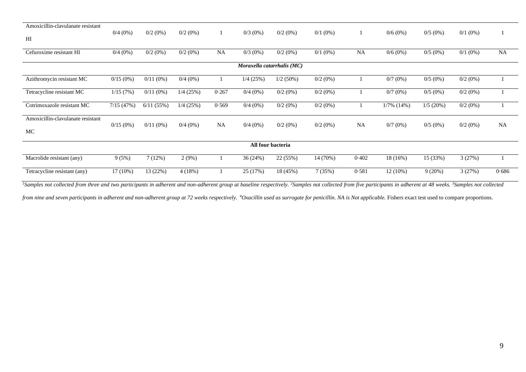| Amoxicillin-clavulanate resistant       |             |             |             |           |            |                            |            |           |               |            |            |           |
|-----------------------------------------|-------------|-------------|-------------|-----------|------------|----------------------------|------------|-----------|---------------|------------|------------|-----------|
| H1                                      | $0/4(0\%)$  | $0/2$ (0%)  | $0/2$ (0%)  |           | $0/3(0\%)$ | $0/2$ (0%)                 | $0/1$ (0%) |           | $0/6(0\%)$    | $0/5(0\%)$ | $0/1$ (0%) |           |
| Cefuroxime resistant HI                 | $0/4(0\%)$  | $0/2(0\%)$  | $0/2$ (0%)  | <b>NA</b> | $0/3$ (0%) | $0/2$ (0%)                 | $0/1$ (0%) | <b>NA</b> | $0/6(0\%)$    | $0/5(0\%)$ | $0/1$ (0%) | <b>NA</b> |
|                                         |             |             |             |           |            | Moraxella catarrhalis (MC) |            |           |               |            |            |           |
| Azithromycin resistant MC               | $0/15(0\%)$ | $0/11(0\%)$ | $0/4(0\%)$  |           | 1/4(25%)   | $1/2(50\%)$                | $0/2(0\%)$ |           | 0/7(0%)       | $0/5(0\%)$ | $0/2(0\%)$ |           |
| Tetracycline resistant MC               | 1/15(7%)    | $0/11(0\%)$ | $1/4$ (25%) | 0.267     | $0/4(0\%)$ | $0/2$ (0%)                 | $0/2(0\%)$ |           | 0/7(0%)       | $0/5(0\%)$ | $0/2(0\%)$ |           |
| Cotrimoxazole resistant MC              | 7/15(47%)   | 6/11(55%)   | $1/4$ (25%) | 0.569     | $0/4(0\%)$ | $0/2$ (0%)                 | $0/2(0\%)$ |           | $1/7\%$ (14%) | 1/5(20%)   | $0/2(0\%)$ |           |
| Amoxicillin-clavulanate resistant<br>MC | $0/15(0\%)$ | $0/11(0\%)$ | $0/4(0\%)$  | <b>NA</b> | $0/4(0\%)$ | $0/2$ (0%)                 | $0/2(0\%)$ | <b>NA</b> | $0/7(0\%)$    | $0/5(0\%)$ | $0/2$ (0%) | <b>NA</b> |
|                                         |             |             |             |           |            | All four bacteria          |            |           |               |            |            |           |
| Macrolide resistant (any)               | 9(5%)       | 7(12%)      | 2(9%)       |           | 36 (24%)   | 22 (55%)                   | 14 (70%)   | 0.402     | 18 (16%)      | 15 (33%)   | 3(27%)     |           |
| Tetracycline resistant (any)            | 17 (10%)    | 13 (22%)    | 4(18%)      |           | 25 (17%)   | 18 (45%)                   | 7(35%)     | 0.581     | $12(10\%)$    | 9(20%)     | 3(27%)     | 0.686     |

<sup>1</sup>Samples not collected from three and two participants in adherent and non-adherent group at baseline respectively. <sup>2</sup>Samples not collected from five participants in adherent at 48 weeks. <sup>3</sup>Samples not collected

from nine and seven participants in adherent and non-adherent group at 72 weeks respectively. <sup>4</sup>Oxacillin used as surrogate for penicillin. NA is Not applicable. Fishers exact test used to compare proportions.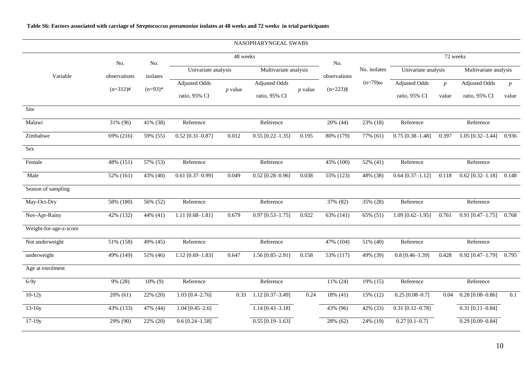# **Table S6: Factors associated with carriage of** *Streptococcus pneumoniae* **isolates at 48 weeks and 72 weeks in trial participants**

|                        |                         |            |                      |           | NASOPHARYNGEAL SWABS          |           |              |                        |                      |                 |                       |                  |
|------------------------|-------------------------|------------|----------------------|-----------|-------------------------------|-----------|--------------|------------------------|----------------------|-----------------|-----------------------|------------------|
|                        | No.                     | No.        |                      | 48 weeks  |                               |           | No.          |                        |                      | 72 weeks        |                       |                  |
| Variable               | observations            | isolates   | Univariate analysis  |           | Multivariate analysis         |           | observations | No. isolates           | Univariate analysis  |                 | Multivariate analysis |                  |
|                        | $(n=312)$ #             | $(n=93)*$  | <b>Adjusted Odds</b> | $p$ value | Adjusted Odds                 | $p$ value | $(n=223)\$   | $(n=79)\omega$         | <b>Adjusted Odds</b> | $p_{\parallel}$ | <b>Adjusted Odds</b>  | $\boldsymbol{p}$ |
|                        |                         |            | ratio, 95% CI        |           | ratio, 95% CI                 |           |              |                        | ratio, 95% CI        | value           | ratio, 95% CI         | value            |
| Site                   |                         |            |                      |           |                               |           |              |                        |                      |                 |                       |                  |
| Malawi                 | 31% (96)                | 41% (38)   | Reference            |           | Reference                     |           | 20% (44)     | 23% (18)               | Reference            |                 | Reference             |                  |
| Zimbabwe               | 69% (216)               | 59% (55)   | $0.52$ [0.31-0.87]   | 0.012     | $0.55$ [0.22-1.35]            | 0.195     | 80% (179)    | 77% (61)               | $0.75$ [0.38-1.48]   | 0.397           | 1.05 [0.32-3.44]      | 0.936            |
| Sex                    |                         |            |                      |           |                               |           |              |                        |                      |                 |                       |                  |
| Female                 | 48% (151)               | 57% (53)   | Reference            |           | Reference                     |           | 45% (100)    | $\overline{52\% (41)}$ | Reference            |                 | Reference             |                  |
| Male                   | 52% (161)               | 43% (40)   | $0.61$ [0.37-0.99]   | 0.049     | $0.52$ [0.28-0.96]            | 0.038     | 55% (123)    | 48% (38)               | $0.64$ [0.37-1.12]   | 0.118           | $0.62$ [0.32-1.18]    | 0.148            |
| Season of sampling     |                         |            |                      |           |                               |           |              |                        |                      |                 |                       |                  |
| May-Oct-Dry            | 58% (180)               | 56% (52)   | Reference            |           | Reference                     |           | 37% (82)     | 35% (28)               | Reference            |                 | Reference             |                  |
| Nov-Apr-Rainy          | 42% (132)               | 44% (41)   | 1.11 $[0.68 - 1.81]$ | 0.679     | $0.97$ [0.53-1.75]            | 0.922     | 63% (141)    | 65% (51)               | 1.09 $[0.62 - 1.95]$ | 0.761           | $0.91$ [0.47-1.75]    | 0.768            |
| Weight-for-age-z-score |                         |            |                      |           |                               |           |              |                        |                      |                 |                       |                  |
| Not underweight        | 51% (158)               | 49% (45)   | Reference            |           | Reference                     |           | 47% (104)    | 51% (40)               | Reference            |                 | Reference             |                  |
| underweight            | $\overline{49\%}$ (149) | 51% (46)   | $1.12$ [0.69-1.83]   | 0.647     | 1.56 $[0.85 - 2.91]$          | 0.158     | 53% (117)    | 49% (39)               | $0.8$ [0.46-1.39]    | 0.428           | $0.92$ [0.47-1.79]    | 0.795            |
| Age at enrolment       |                         |            |                      |           |                               |           |              |                        |                      |                 |                       |                  |
| $6-9y$                 | 9% (28)                 | $10\%$ (9) | Reference            |           | Reference                     |           | 11% (24)     | 19% (15)               | Reference            |                 | Reference             |                  |
| $10-12y$               | 20% (61)                | 22% (20)   | $1.03$ [0.4-2.76]    | 0.33      | $\overline{1.12}$ [0.37-3.49] | 0.24      | $18\%$ (41)  | 15% (12)               | $0.25$ [0.08-0.7]    | 0.04            | $0.28$ [0.08-0.86]    | 0.1              |
| $13-16y$               | 43% (133)               | 47% (44)   | $1.04$ [0.45-2.6]    |           | $1.14$ [0.43-3.18]            |           | 43% (96)     | 42% (33)               | $0.31$ [0.12-0.78]   |                 | $0.31$ [0.11-0.84]    |                  |
| $17-19y$               | 29% (90)                | 22% (20)   | $0.6 [0.24 - 1.58]$  |           | $0.55$ [0.19-1.63]            |           | 28% (62)     | 24% (19)               | $0.27$ [0.1-0.7]     |                 | $0.29$ [0.09-0.84]    |                  |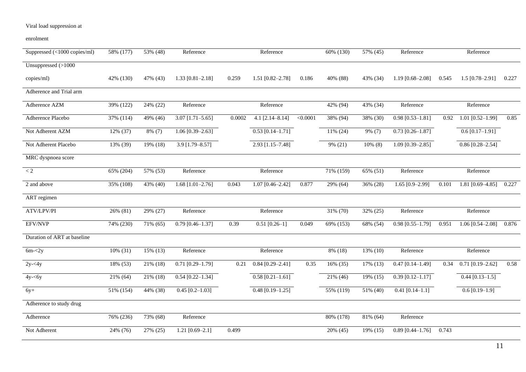| Suppressed (<1000 copies/ml) | 58% (177) | 53% (48)    | Reference            |        | Reference          |          | 60% (130)               | 57% (45)   | Reference           |       | Reference            |       |
|------------------------------|-----------|-------------|----------------------|--------|--------------------|----------|-------------------------|------------|---------------------|-------|----------------------|-------|
| Unsuppressed (>1000          |           |             |                      |        |                    |          |                         |            |                     |       |                      |       |
| copies/ml)                   | 42% (130) | 47% (43)    | $1.33$ [0.81-2.18]   | 0.259  | $1.51$ [0.82-2.78] | 0.186    | 40% (88)                | 43% (34)   | $1.19$ [0.68-2.08]  | 0.545 | $1.5$ [0.78-2.91]    | 0.227 |
| Adherence and Trial arm      |           |             |                      |        |                    |          |                         |            |                     |       |                      |       |
| Adherence AZM                | 39% (122) | 24% (22)    | Reference            |        | Reference          |          | 42% (94)                | 43% (34)   | Reference           |       | Reference            |       |
| Adherence Placebo            | 37% (114) | 49% (46)    | $3.07$ [1.71-5.65]   | 0.0002 | $4.1$ [2.14-8.14]  | < 0.0001 | 38% (94)                | 38% (30)   | $0.98$ [0.53-1.81]  | 0.92  | $1.01$ [0.52-1.99]   | 0.85  |
| Not Adherent AZM             | 12% (37)  | $8\%$ (7)   | $1.06$ [0.39-2.63]   |        | $0.53$ [0.14-1.71] |          | $11\%$ (24)             | 9% (7)     | $0.73$ [0.26-1.87]  |       | $0.6$ [0.17-1.91]    |       |
| Not Adherent Placebo         | 13% (39)  | 19% (18)    | $3.9$ [1.79-8.57]    |        | 2.93 [1.15-7.48]   |          | 9% (21)                 | $10\%$ (8) | $1.09$ [0.39-2.85]  |       | $0.86$ [0.28-2.54]   |       |
| MRC dyspnoea score           |           |             |                      |        |                    |          |                         |            |                     |       |                      |       |
| $\rm < 2$                    | 65% (204) | 57% (53)    | Reference            |        | Reference          |          | $\overline{71}\%$ (159) | 65% (51)   | Reference           |       | Reference            |       |
| 2 and above                  | 35% (108) | 43% (40)    | 1.68 $[1.01 - 2.76]$ | 0.043  | 1.07 [0.46-2.42]   | 0.877    | $\overline{29\%}$ (64)  | 36% (28)   | 1.65 $[0.9 - 2.99]$ | 0.101 | 1.81 $[0.69 - 4.85]$ | 0.227 |
| ART regimen                  |           |             |                      |        |                    |          |                         |            |                     |       |                      |       |
| ATV/LPV/PI                   | 26% (81)  | 29% (27)    | Reference            |        | Reference          |          | 31% (70)                | 32% (25)   | Reference           |       | Reference            |       |
| EFV/NVP                      | 74% (230) | 71% (65)    | $0.79$ [0.46-1.37]   | 0.39   | $0.51$ [0.26-1]    | 0.049    | $\overline{69\%}$ (153) | 68% (54)   | $0.98$ [0.55-1.79]  | 0.951 | $1.06$ [0.54-2.08]   | 0.876 |
| Duration of ART at baseline  |           |             |                      |        |                    |          |                         |            |                     |       |                      |       |
| $6m - 2y$                    | 10% (31)  | 15% (13)    | Reference            |        | Reference          |          | 8% (18)                 | 13% (10)   | Reference           |       | Reference            |       |
| $2y - 4y$                    | 18% (53)  | 21% (18)    | $0.71$ [0.29-1.79]   | 0.21   | $0.84$ [0.29-2.41] | 0.35     | 16% (35)                | 17% (13)   | $0.47$ [0.14-1.49]  | 0.34  | $0.71$ [0.19-2.62]   | 0.58  |
| $4y - 6y$                    | 21% (64)  | 21% (18)    | $0.54$ [0.22-1.34]   |        | $0.58$ [0.21-1.61] |          | 21% (46)                | 19% (15)   | $0.39$ [0.12-1.17]  |       | $0.44$ [0.13-1.5]    |       |
| $6y+$                        | 51% (154) | 44% (38)    | $0.45$ [0.2-1.03]    |        | $0.48$ [0.19-1.25] |          | 55% (119)               | 51% (40)   | $0.41$ [0.14-1.1]   |       | $0.6$ [0.19-1.9]     |       |
| Adherence to study drug      |           |             |                      |        |                    |          |                         |            |                     |       |                      |       |
| Adherence                    | 76% (236) | $73\%$ (68) | Reference            |        |                    |          | 80% (178)               | 81% (64)   | Reference           |       |                      |       |
| Not Adherent                 | 24% (76)  | 27% (25)    | 1.21 $[0.69-2.1]$    | 0.499  |                    |          | 20% (45)                | 19% (15)   | $0.89$ [0.44-1.76]  | 0.743 |                      |       |

# Viral load suppression at

enrolment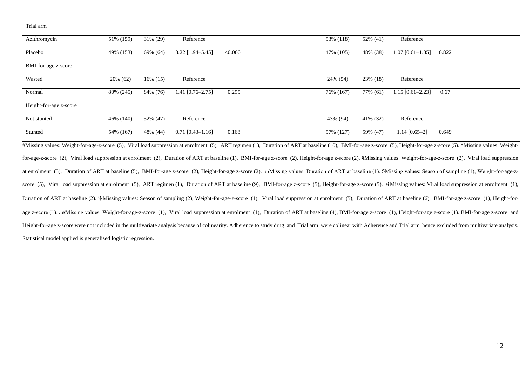Trial arm

| Azithromycin           | 51% (159) | 31\% (29)   | Reference          |          | 53% (118) | 52% (41)  | Reference          |                                                                                                                                                                                                                        |
|------------------------|-----------|-------------|--------------------|----------|-----------|-----------|--------------------|------------------------------------------------------------------------------------------------------------------------------------------------------------------------------------------------------------------------|
| Placebo                | 49% (153) | 69% (64)    | $3.22$ [1.94-5.45] | < 0.0001 | 47% (105) | 48% (38)  | $1.07$ [0.61-1.85] | 0.822                                                                                                                                                                                                                  |
| BMI-for-age z-score    |           |             |                    |          |           |           |                    |                                                                                                                                                                                                                        |
| Wasted                 | 20% (62)  | $16\%$ (15) | Reference          |          | 24\% (54) | 23% (18)  | Reference          |                                                                                                                                                                                                                        |
| Normal                 | 80% (245) | 84% (76)    | $1.41$ [0.76-2.75] | 0.295    | 76% (167) | 77% (61)  | 1.15 [0.61-2.23]   | 0.67                                                                                                                                                                                                                   |
| Height-for-age z-score |           |             |                    |          |           |           |                    |                                                                                                                                                                                                                        |
| Not stunted            | 46% (140) | 52% (47)    | Reference          |          | 43% (94)  | 41\% (32) | Reference          |                                                                                                                                                                                                                        |
| Stunted                | 54% (167) | 48% (44)    | $0.71$ [0.43-1.16] | 0.168    | 57% (127) | 59% (47)  | $1.14$ [0.65-2]    | 0.649                                                                                                                                                                                                                  |
|                        |           |             |                    |          |           |           |                    | #Missing values: Weight-for-age-z-score (5), Viral load suppression at enrolment (5), ART regimen (1), Duration of ART at baseline (10), BMI-for-age z-score (5), Height-for-age z-score (5). *Missing values: Weight- |

for-age-z-score (2), Viral load suppression at enrolment (2), Duration of ART at baseline (1), BMI-for-age z-score (2), Height-for-age z-score (2). §Missing values: Weight-for-age-z-score (2), Viral load suppression at enrolment (5), Duration of ART at baseline (5), BMI-for-age z-score (2), Height-for-age z-score (2). ωMissing values: Duration of ART at baseline (1). 3Missing values: Season of sampling (1), Weight-for-age-zscore (5), Viral load suppression at enrolment (5), ART regimen (1), Duration of ART at baseline (9), BMI-for-age z-score (5), Height-for-age z-score (5).  $\Theta$ Missing values: Viral load suppression at enrolment (1), Duration of ART at baseline (2). VMissing values: Season of sampling (2), Weight-for-age-z-score (1), Viral load suppression at enrolment (5), Duration of ART at baseline (6), BMI-for-age z-score (1), Height-forage z-score (1). MMissing values: Weight-for-age-z-score (1), Viral load suppression at enrolment (1), Duration of ART at baseline (4), BMI-for-age z-score (1), Height-for-age z-score (1). BMI-for-age z-score and Height-for-age z-score were not included in the multivariate analysis because of colinearity. Adherence to study drug and Trial arm were colinear with Adherence and Trial arm hence excluded from multivariate analysis. Statistical model applied is generalised logistic regression.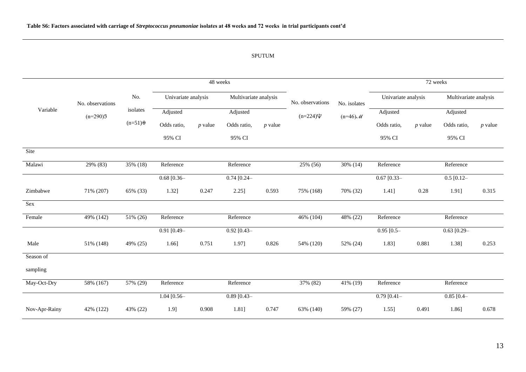# SPUTUM

|               |                  |                   |                     | 48 weeks  |                       |           |                  | 72 weeks     |                     |           |                       |           |
|---------------|------------------|-------------------|---------------------|-----------|-----------------------|-----------|------------------|--------------|---------------------|-----------|-----------------------|-----------|
|               | No. observations | No.               | Univariate analysis |           | Multivariate analysis |           | No. observations | No. isolates | Univariate analysis |           | Multivariate analysis |           |
| Variable      | $(n=290)3$       | isolates          | Adjusted            |           | Adjusted              |           | $(n=224)\Psi$    | $(n=46)$ M   | Adjusted            |           | Adjusted              |           |
|               |                  | $(n=51)$ $\theta$ | Odds ratio,         | $p$ value | Odds ratio,           | $p$ value |                  |              | Odds ratio,         | $p$ value | Odds ratio,           | $p$ value |
|               |                  |                   | 95% CI              |           | 95% CI                |           |                  |              | 95% CI              |           | 95% CI                |           |
| Site          |                  |                   |                     |           |                       |           |                  |              |                     |           |                       |           |
| Malawi        | 29% (83)         | 35% (18)          | Reference           |           | Reference             |           | 25% (56)         | 30% (14)     | Reference           |           | Reference             |           |
|               |                  |                   | $0.68$ [0.36-       |           | $0.74$ [0.24-         |           |                  |              | $0.67$ [0.33-       |           | $0.5$ [0.12-          |           |
| Zimbabwe      | 71% (207)        | 65% (33)          | 1.32]               | 0.247     | 2.25]                 | 0.593     | 75% (168)        | 70% (32)     | 1.41]               | 0.28      | 1.91]                 | 0.315     |
| Sex           |                  |                   |                     |           |                       |           |                  |              |                     |           |                       |           |
| Female        | 49% (142)        | 51% (26)          | Reference           |           | Reference             |           | 46% (104)        | 48% (22)     | Reference           |           | Reference             |           |
|               |                  |                   | $0.91$ [0.49-       |           | $0.92$ [0.43-         |           |                  |              | $0.95$ [0.5-        |           | $0.63$ [0.29-         |           |
| Male          | 51% (148)        | 49% (25)          | 1.66]               | 0.751     | 1.97]                 | 0.826     | 54% (120)        | 52% (24)     | 1.83]               | 0.881     | 1.38]                 | 0.253     |
| Season of     |                  |                   |                     |           |                       |           |                  |              |                     |           |                       |           |
| sampling      |                  |                   |                     |           |                       |           |                  |              |                     |           |                       |           |
| May-Oct-Dry   | 58% (167)        | 57% (29)          | Reference           |           | Reference             |           | 37% (82)         | 41% (19)     | Reference           |           | Reference             |           |
|               |                  |                   | $1.04$ [0.56-       |           | $0.89$ [0.43-         |           |                  |              | $0.79$ [0.41-       |           | $0.85$ [0.4-          |           |
| Nov-Apr-Rainy | 42% (122)        | 43% (22)          | 1.9]                | 0.908     | 1.81]                 | 0.747     | 63% (140)        | 59% (27)     | $1.55$ ]            | 0.491     | 1.86]                 | 0.678     |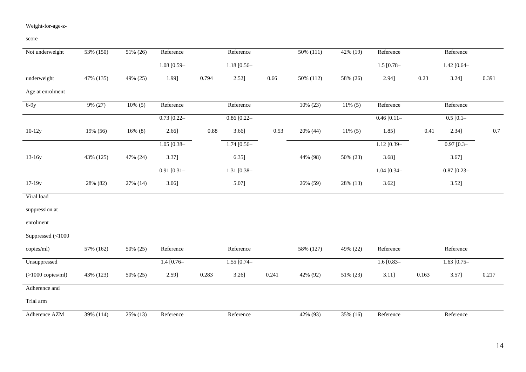# Weight-for-age-z-

score

| Not underweight      | 53% (150) | 51% (26)   | Reference       |       | Reference      |       | $50\%$ (111) | 42% (19)   | Reference     |       | Reference      |         |
|----------------------|-----------|------------|-----------------|-------|----------------|-------|--------------|------------|---------------|-------|----------------|---------|
|                      |           |            | $1.08$ [0.59-   |       | $1.18$ [0.56-  |       |              |            | $1.5$ [0.78-  |       | 1.42 $[0.64 -$ |         |
| underweight          | 47% (135) | 49% (25)   | 1.99]           | 0.794 | 2.52]          | 0.66  | 50% (112)    | 58% (26)   | 2.94]         | 0.23  | 3.24]          | 0.391   |
| Age at enrolment     |           |            |                 |       |                |       |              |            |               |       |                |         |
| $6-9y$               | 9% (27)   | $10\%$ (5) | Reference       |       | Reference      |       | 10% (23)     | $11\% (5)$ | Reference     |       | Reference      |         |
|                      |           |            | $0.73$ [0.22-   |       | $0.86$ [0.22-  |       |              |            | $0.46$ [0.11- |       | $0.5$ [0.1-    |         |
| $10-12y$             | 19% (56)  | $16\%$ (8) | 2.66]           | 0.88  | 3.66]          | 0.53  | 20% (44)     | $11\% (5)$ | 1.85]         | 0.41  | 2.34]          | $0.7\,$ |
|                      |           |            | $1.05$ [0.38-   |       | $1.74$ [0.56-  |       |              |            | $1.12$ [0.39- |       | $0.97$ $[0.3-$ |         |
| $13-16y$             | 43% (125) | 47% (24)   | 3.37]           |       | 6.35]          |       | 44% (98)     | 50% (23)   | 3.68]         |       | 3.67]          |         |
|                      |           |            | $0.91$ $[0.31]$ |       | $1.31 [0.38 -$ |       |              |            | $1.04$ [0.34- |       | $0.87$ [0.23-  |         |
| $17-19y$             | 28% (82)  | 27% (14)   | 3.06]           |       | 5.07]          |       | 26% (59)     | 28% (13)   | 3.62]         |       | 3.52]          |         |
| Viral load           |           |            |                 |       |                |       |              |            |               |       |                |         |
| suppression at       |           |            |                 |       |                |       |              |            |               |       |                |         |
| enrolment            |           |            |                 |       |                |       |              |            |               |       |                |         |
| Suppressed $(<1000$  |           |            |                 |       |                |       |              |            |               |       |                |         |
| copies/ml)           | 57% (162) | 50% (25)   | Reference       |       | Reference      |       | 58% (127)    | 49% (22)   | Reference     |       | Reference      |         |
| Unsuppressed         |           |            | $1.4$ [0.76-    |       | $1.55$ [0.74-  |       |              |            | $1.6$ [0.83-  |       | $1.63$ [0.75-  |         |
| $($ >1000 copies/ml) | 43% (123) | 50% (25)   | 2.59]           | 0.283 | $3.26$ ]       | 0.241 | 42% (92)     | 51% (23)   | 3.11]         | 0.163 | 3.57]          | 0.217   |
| Adherence and        |           |            |                 |       |                |       |              |            |               |       |                |         |
| Trial arm            |           |            |                 |       |                |       |              |            |               |       |                |         |
| Adherence AZM        | 39% (114) | 25% (13)   | Reference       |       | Reference      |       | 42% (93)     | 35% (16)   | Reference     |       | Reference      |         |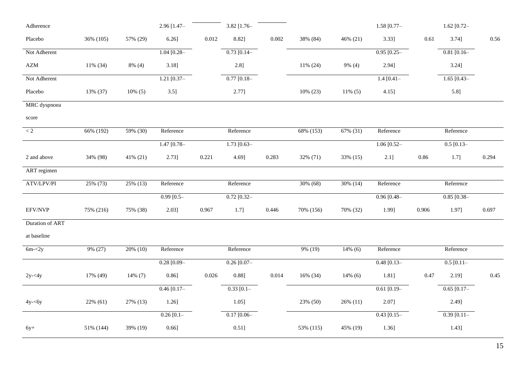| Adherence                   |           |            | 2.96 [1.47-    |       | 3.82 [1.76-   |       |           |            | $1.58$ [0.77-    |       | $1.62$ [0.72- |       |
|-----------------------------|-----------|------------|----------------|-------|---------------|-------|-----------|------------|------------------|-------|---------------|-------|
| Placebo                     | 36% (105) | 57% (29)   | 6.26]          | 0.012 | 8.82]         | 0.002 | 38% (84)  | 46% (21)   | 3.33]            | 0.61  | 3.74]         | 0.56  |
| Not Adherent                |           |            | $1.04$ [0.28-  |       | $0.73$ [0.14- |       |           |            | $0.95$ $[0.25 -$ |       | $0.81$ [0.16- |       |
| $\boldsymbol{\mathsf{AZM}}$ | 11% (34)  | 8% (4)     | $3.18$ ]       |       | 2.8]          |       | 11% (24)  | 9% (4)     | 2.94]            |       | 3.24]         |       |
| Not Adherent                |           |            | $1.21$ [0.37-  |       | $0.77$ [0.18- |       |           |            | $1.4$ [0.41-     |       | $1.65$ [0.43- |       |
| Placebo                     | 13% (37)  | $10\%$ (5) | 3.5]           |       | 2.77]         |       | 10% (23)  | $11\% (5)$ | $4.15$ ]         |       | 5.8]          |       |
| MRC dyspnoea                |           |            |                |       |               |       |           |            |                  |       |               |       |
| score                       |           |            |                |       |               |       |           |            |                  |       |               |       |
| $\lt 2$                     | 66% (192) | 59% (30)   | Reference      |       | Reference     |       | 68% (153) | 67% (31)   | Reference        |       | Reference     |       |
|                             |           |            | 1.47 $[0.78-$  |       | 1.73 $[0.63-$ |       |           |            | 1.06 $[0.52-$    |       | $0.5$ [0.13-  |       |
| 2 and above                 | 34% (98)  | 41% (21)   | 2.73]          | 0.221 | 4.69]         | 0.283 | 32% (71)  | 33% (15)   | $2.1$ ]          | 0.86  | $1.7$ ]       | 0.294 |
| ART regimen                 |           |            |                |       |               |       |           |            |                  |       |               |       |
| ATV/LPV/PI                  | 25% (73)  | 25% (13)   | Reference      |       | Reference     |       | 30% (68)  | 30% (14)   | Reference        |       | Reference     |       |
|                             |           |            | $0.99$ $[0.5-$ |       | $0.72$ [0.32- |       |           |            | $0.96$ [0.48-    |       | $0.85$ [0.38- |       |
| EFV/NVP                     | 75% (216) | 75% (38)   | 2.03]          | 0.967 | 1.7]          | 0.446 | 70% (156) | 70% (32)   | 1.99]            | 0.906 | 1.97]         | 0.697 |
| Duration of ART             |           |            |                |       |               |       |           |            |                  |       |               |       |
| at baseline                 |           |            |                |       |               |       |           |            |                  |       |               |       |
| $6m - 2y$                   | 9% (27)   | 20% (10)   | Reference      |       | Reference     |       | 9% (19)   | $14\%$ (6) | Reference        |       | Reference     |       |
|                             |           |            | $0.28$ [0.09-  |       | $0.26$ [0.07- |       |           |            | $0.48$ [0.13-    |       | $0.5$ [0.11-  |       |
| $2y - 4y$                   | 17% (49)  | 14% (7)    | 0.86]          | 0.026 | 0.88]         | 0.014 | 16% (34)  | $14\%$ (6) | 1.81]            | 0.47  | 2.19]         | 0.45  |
|                             |           |            | $0.46$ [0.17-  |       | $0.33$ [0.1-  |       |           |            | $0.61$ [0.19-    |       | $0.65$ [0.17- |       |
| $4y - 6y$                   | 22% (61)  | 27% (13)   | 1.26]          |       | 1.05]         |       | 23% (50)  | 26% (11)   | 2.07]            |       | 2.49]         |       |
|                             |           |            | $0.26$ [0.1-   |       | $0.17$ [0.06- |       |           |            | $0.43$ [0.15-    |       | $0.39$ [0.11- |       |
| $6y+$                       | 51% (144) | 39% (19)   | 0.66]          |       | 0.51]         |       | 53% (115) | 45% (19)   | $1.36$ ]         |       | 1.43]         |       |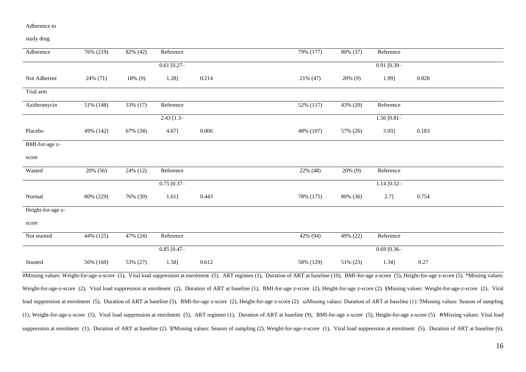#### Adherence to

study drug

| Adherence         | 76% (219) | 82% (42)   | Reference     |       | 79% (177) | 80% (37)   | Reference     |                                                                                                                                                                                                                |
|-------------------|-----------|------------|---------------|-------|-----------|------------|---------------|----------------------------------------------------------------------------------------------------------------------------------------------------------------------------------------------------------------|
|                   |           |            | $0.61$ [0.27- |       |           |            | $0.91$ [0.39- |                                                                                                                                                                                                                |
| Not Adherent      | 24% (71)  | $18\%$ (9) | 1.28]         | 0.214 | 21% (47)  | 20% (9)    | 1.99]         | 0.828                                                                                                                                                                                                          |
| Trial arm         |           |            |               |       |           |            |               |                                                                                                                                                                                                                |
| Azithromycin      | 51% (148) | 33% (17)   | Reference     |       | 52% (117) | 43% (20)   | Reference     |                                                                                                                                                                                                                |
|                   |           |            | $2.43$ [1.3-  |       |           |            | $1.56$ [0.81- |                                                                                                                                                                                                                |
| Placebo           | 49% (142) | 67% (34)   | 4.67]         | 0.006 | 48% (107) | 57% (26)   | $3.03$ ]      | 0.183                                                                                                                                                                                                          |
| BMI-for-age z-    |           |            |               |       |           |            |               |                                                                                                                                                                                                                |
| score             |           |            |               |       |           |            |               |                                                                                                                                                                                                                |
| Wasted            | 20% (56)  | 24% (12)   | Reference     |       | 22% (48)  | $20\%$ (9) | Reference     |                                                                                                                                                                                                                |
|                   |           |            | $0.75$ [0.37- |       |           |            | $1.14$ [0.52- |                                                                                                                                                                                                                |
| Normal            | 80% (229) | 76% (39)   | 1.61]         | 0.443 | 78% (175) | 80% (36)   | $2.7$ ]       | 0.754                                                                                                                                                                                                          |
| Height-for-age z- |           |            |               |       |           |            |               |                                                                                                                                                                                                                |
| score             |           |            |               |       |           |            |               |                                                                                                                                                                                                                |
| Not stunted       | 44% (125) | 47% (24)   | Reference     |       | 42% (94)  | 49% (22)   | Reference     |                                                                                                                                                                                                                |
|                   |           |            | $0.85$ [0.47- |       |           |            | $0.69$ [0.36- |                                                                                                                                                                                                                |
| Stunted           | 56% (160) | 53% (27)   | 1.58]         | 0.612 | 58% (129) | 51% (23)   | 1.34]         | 0.27                                                                                                                                                                                                           |
|                   |           |            |               |       |           |            |               | #Missing values: Weight-for-age-z-score (5), Viral load suppression at enrolment (5), ART regimen (1), Duration of ART at baseline (10), BMI-for-age z-score (5), Height-for-age z-score (5). *Missing values: |

Weight-for-age-z-score (2), Viral load suppression at enrolment (2), Duration of ART at baseline (1), BMI-for-age z-score (2), Height-for-age z-score (2). §Missing values: Weight-for-age-z-score (2), Viral load suppression at enrolment (5), Duration of ART at baseline (5), BMI-for-age z-score (2), Height-for-age z-score (2). ωMissing values: Duration of ART at baseline (1). 3Missing values: Season of sampling (1), Weight-for-age-z-score (5), Viral load suppression at enrolment (5), ART regimen (1), Duration of ART at baseline (9), BMI-for-age z-score (5), Height-for-age z-score (5). ⍬Missing values: Viral load suppression at enrolment (1), Duration of ART at baseline (2). *VMissing values: Season of sampling (2)*, Weight-for-age-z-score (1), Viral load suppression at enrolment (5), Duration of ART at baseline (6),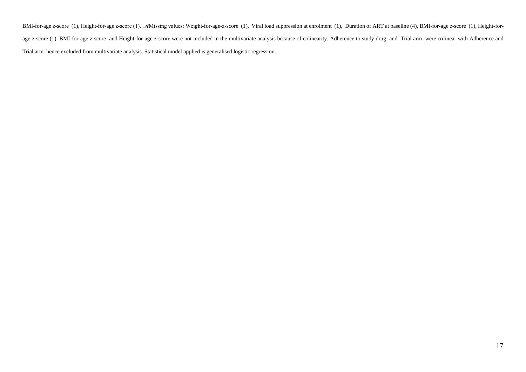BMI-for-age z-score (1), Height-for-age z-score (1). MMissing values: Weight-for-age-z-score (1), Viral load suppression at enrolment (1), Duration of ART at baseline (4), BMI-for-age z-score (1), Height-forage z-score (1). BMI-for-age z-score and Height-for-age z-score were not included in the multivariate analysis because of colinearity. Adherence to study drug and Trial arm were colinear with Adherence and Trial arm hence excluded from multivariate analysis. Statistical model applied is generalised logistic regression.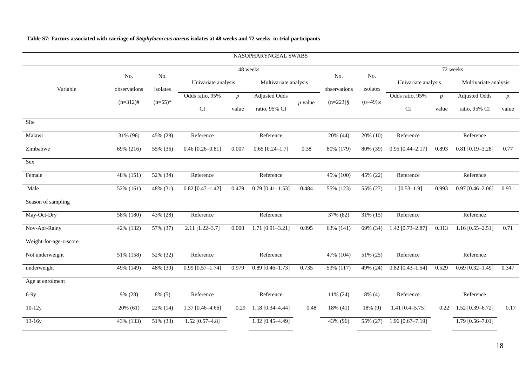|                        |              |           |                       |                  | NASOPHARYNGEAL SWABS  |           |              |                |                       |                  |                       |                  |
|------------------------|--------------|-----------|-----------------------|------------------|-----------------------|-----------|--------------|----------------|-----------------------|------------------|-----------------------|------------------|
|                        | No.          | No.       |                       |                  | 48 weeks              |           | No.          | No.            |                       |                  | 72 weeks              |                  |
| Variable               | observations | isolates  | Univariate analysis   |                  | Multivariate analysis |           | observations | isolates       | Univariate analysis   |                  | Multivariate analysis |                  |
|                        | $(n=312)$ #  | $(n=65)*$ | Odds ratio, 95%<br>CI | $\boldsymbol{p}$ | <b>Adjusted Odds</b>  | $p$ value | $(n=223)$ §  | $(n=49)\omega$ | Odds ratio, 95%<br>CI | $\boldsymbol{p}$ | <b>Adjusted Odds</b>  | $\boldsymbol{p}$ |
| Site                   |              |           |                       | value            | ratio, 95% CI         |           |              |                |                       | value            | ratio, 95% CI         | value            |
| Malawi                 | 31% (96)     | 45% (29)  | Reference             |                  | Reference             |           | 20% (44)     | 20% (10)       | Reference             |                  | Reference             |                  |
| Zimbabwe               | 69% (216)    | 55% (36)  | $0.46$ [0.26-0.81]    | 0.007            | $0.65$ [0.24-1.7]     | 0.38      | 80% (179)    | 80% (39)       | $0.95$ [0.44-2.17]    | 0.893            | $0.81$ [0.19-3.28]    | 0.77             |
| Sex                    |              |           |                       |                  |                       |           |              |                |                       |                  |                       |                  |
| Female                 | 48% (151)    | 52% (34)  | Reference             |                  | Reference             |           | 45% (100)    | 45% (22)       | Reference             |                  | Reference             |                  |
| Male                   | 52% (161)    | 48% (31)  | $0.82$ [0.47-1.42]    | 0.479            | $0.79$ [0.41-1.53]    | 0.484     | 55% (123)    | 55% (27)       | $1 [0.53 - 1.9]$      | 0.993            | $0.97$ [0.46-2.06]    | 0.931            |
| Season of sampling     |              |           |                       |                  |                       |           |              |                |                       |                  |                       |                  |
| May-Oct-Dry            | 58% (180)    | 43% (28)  | Reference             |                  | Reference             |           | 37% (82)     | 31% (15)       | Reference             |                  | Reference             |                  |
| Nov-Apr-Rainy          | 42% (132)    | 57% (37)  | $2.11$ [1.22-3.7]     | 0.008            | 1.71 $[0.91 - 3.21]$  | 0.095     | 63% (141)    | 69% (34)       | 1.42 [0.73-2.87]      | 0.313            | $1.16$ [0.55-2.51]    | 0.71             |
| Weight-for-age-z-score |              |           |                       |                  |                       |           |              |                |                       |                  |                       |                  |
| Not underweight        | 51% (158)    | 52% (32)  | Reference             |                  | Reference             |           | 47% (104)    | 51% (25)       | Reference             |                  | Reference             |                  |
| underweight            | 49% (149)    | 48% (30)  | $0.99$ [0.57-1.74]    | 0.979            | $0.89$ [0.46-1.73]    | 0.735     | 53% (117)    | 49% (24)       | $0.82$ [0.43-1.54]    | 0.529            | $0.69$ [0.32-1.49]    | 0.347            |
| Age at enrolment       |              |           |                       |                  |                       |           |              |                |                       |                  |                       |                  |
| $6-9y$                 | 9% (28)      | $8\%$ (5) | Reference             |                  | Reference             |           | 11% (24)     | $8\%$ (4)      | Reference             |                  | Reference             |                  |
| $10-12y$               | $20\%$ (61)  | 22% (14)  | $1.37$ [0.46-4.66]    | 0.29             | 1.18 [0.34-4.44]      | 0.48      | 18% (41)     | 18% (9)        | 1.41 $[0.4 - 5.75]$   | 0.22             | 1.52 [0.39-6.72]      | 0.17             |
| $13-16y$               | 43% (133)    | 51% (33)  | 1.52 [0.57-4.8]       |                  | $1.32$ [0.45-4.49]    |           | 43% (96)     | 55% (27)       | $1.96$ [0.67-7.19]    |                  | $1.79$ [0.56-7.01]    |                  |

# **Table S7: Factors associated with carriage of** *Staphylococcus aureus* **isolates at 48 weeks and 72 weeks in trial participants**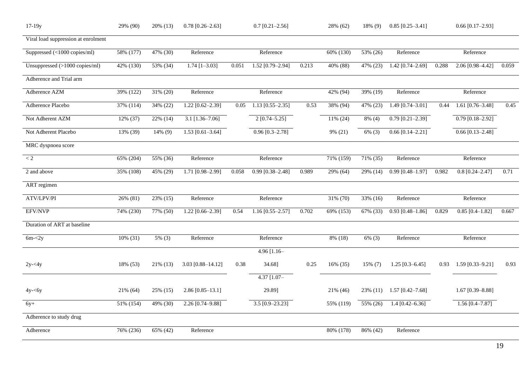| $17-19y$                            | 29% (90)  | $20\%$ (13) | $0.78$ [0.26-2.63]   |          | $0.7$ [0.21-2.56]    |       | 28% (62)               | 18% (9)   | $0.85$ [0.25-3.41]   |       | $0.66$ [0.17-2.93]   |       |
|-------------------------------------|-----------|-------------|----------------------|----------|----------------------|-------|------------------------|-----------|----------------------|-------|----------------------|-------|
| Viral load suppression at enrolment |           |             |                      |          |                      |       |                        |           |                      |       |                      |       |
| Suppressed (<1000 copies/ml)        | 58% (177) | 47% (30)    | Reference            |          | Reference            |       | 60% (130)              | 53% (26)  | Reference            |       | Reference            |       |
| Unsuppressed (>1000 copies/ml)      | 42% (130) | 53% (34)    | $1.74$ [1-3.03]      | 0.051    | 1.52 [0.79-2.94]     | 0.213 | 40% (88)               | 47% (23)  | 1.42 $[0.74 - 2.69]$ | 0.288 | 2.06 [0.98-4.42]     | 0.059 |
| Adherence and Trial arm             |           |             |                      |          |                      |       |                        |           |                      |       |                      |       |
| Adherence AZM                       | 39% (122) | 31% (20)    | Reference            |          | Reference            |       | 42% (94)               | 39% (19)  | Reference            |       | Reference            |       |
| Adherence Placebo                   | 37% (114) | 34% (22)    | $1.22$ [0.62-2.39]   | 0.05     | $1.13$ [0.55-2.35]   | 0.53  | 38% (94)               | 47% (23)  | $1.49$ [0.74-3.01]   | 0.44  | $1.61$ [0.76-3.48]   | 0.45  |
| Not Adherent AZM                    | 12% (37)  | 22% (14)    | $3.1$ [1.36-7.06]    |          | $2[0.74 - 5.25]$     |       | 11% (24)               | $8\%$ (4) | $0.79$ [0.21-2.39]   |       | $0.79$ [0.18-2.92]   |       |
| Not Adherent Placebo                | 13% (39)  | 14% (9)     | $1.53$ [0.61-3.64]   |          | $0.96 [0.3 - 2.78]$  |       | 9% (21)                | $6\%$ (3) | $0.66$ [0.14-2.21]   |       | $0.66$ [0.13-2.48]   |       |
| MRC dyspnoea score                  |           |             |                      |          |                      |       |                        |           |                      |       |                      |       |
| $\rm < 2$                           | 65% (204) | 55% (36)    | Reference            |          | Reference            |       | 71% (159)              | 71% (35)  | Reference            |       | Reference            |       |
| 2 and above                         | 35% (108) | 45% (29)    | 1.71 [0.98-2.99]     | 0.058    | $0.99$ [0.38-2.48]   | 0.989 | 29% (64)               | 29% (14)  | $0.99$ [0.48-1.97]   | 0.982 | $0.8$ [0.24-2.47]    | 0.71  |
| ART regimen                         |           |             |                      |          |                      |       |                        |           |                      |       |                      |       |
| ATV/LPV/PI                          | 26% (81)  | 23% (15)    | Reference            |          | Reference            |       | $\overline{31}\%$ (70) | 33% (16)  | Reference            |       | Reference            |       |
| EFV/NVP                             | 74% (230) | 77% (50)    | 1.22 [0.66-2.39]     | 0.54     | 1.16 $[0.55 - 2.57]$ | 0.702 | 69% (153)              | 67% (33)  | $0.93$ [0.48-1.86]   | 0.829 | $0.85$ [0.4-1.82]    | 0.667 |
| Duration of ART at baseline         |           |             |                      |          |                      |       |                        |           |                      |       |                      |       |
| $6m - 2y$                           | 10% (31)  | 5% (3)      | Reference            |          | Reference            |       | 8% (18)                | $6\%$ (3) | Reference            |       | Reference            |       |
|                                     |           |             |                      |          | 4.96 $[1.16-$        |       |                        |           |                      |       |                      |       |
| $2y - 4y$                           | 18% (53)  | 21% (13)    | 3.03 [0.88-14.12]    | $0.38\,$ | 34.68]               | 0.25  | 16% (35)               | 15% (7)   | $1.25$ [0.3-6.45]    | 0.93  | $1.59$ [0.33-9.21]   | 0.93  |
|                                     |           |             |                      |          | $4.37$ $[1.07 -$     |       |                        |           |                      |       |                      |       |
| $4y - 6y$                           | 21% (64)  | 25% (15)    | $2.86$ [0.85-13.1]   |          | 29.89]               |       | 21% (46)               | 23% (11)  | $1.57$ [0.42-7.68]   |       | 1.67 $[0.39 - 8.88]$ |       |
| $6y+$                               | 51% (154) | 49% (30)    | $2.26 [0.74 - 9.88]$ |          | $3.5 [0.9 - 23.23]$  |       | 55% (119)              | 55% (26)  | $1.4$ [0.42-6.36]    |       | $1.56 [0.4 - 7.87]$  |       |
| Adherence to study drug             |           |             |                      |          |                      |       |                        |           |                      |       |                      |       |
| Adherence                           | 76% (236) | 65% (42)    | Reference            |          |                      |       | 80% (178)              | 86% (42)  | Reference            |       |                      |       |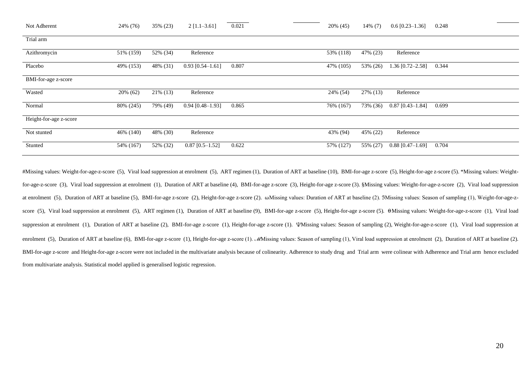| Not Adherent           | 24% (76)  | 35% (23)  | $2$ [1.1–3.61]     | 0.021 | 20% (45)  | $14\%$ (7) | $0.6$ [0.23–1.36]  | 0.248 |
|------------------------|-----------|-----------|--------------------|-------|-----------|------------|--------------------|-------|
| Trial arm              |           |           |                    |       |           |            |                    |       |
| Azithromycin           | 51% (159) | 52% (34)  | Reference          |       | 53% (118) | 47% (23)   | Reference          |       |
| Placebo                | 49% (153) | 48% (31)  | $0.93$ [0.54-1.61] | 0.807 | 47% (105) | 53% (26)   | $1.36$ [0.72-2.58] | 0.344 |
| BMI-for-age z-score    |           |           |                    |       |           |            |                    |       |
| Wasted                 | 20% (62)  | 21\% (13) | Reference          |       | 24% (54)  | 27% (13)   | Reference          |       |
| Normal                 | 80% (245) | 79% (49)  | $0.94$ [0.48-1.93] | 0.865 | 76% (167) | 73% (36)   | $0.87$ [0.43-1.84] | 0.699 |
| Height-for-age z-score |           |           |                    |       |           |            |                    |       |
| Not stunted            | 46% (140) | 48% (30)  | Reference          |       | 43% (94)  | 45% (22)   | Reference          |       |
| Stunted                | 54% (167) | 52% (32)  | $0.87$ [0.5-1.52]  | 0.622 | 57% (127) | 55% (27)   | $0.88$ [0.47-1.69] | 0.704 |

#Missing values: Weight-for-age-z-score (5), Viral load suppression at enrolment (5), ART regimen (1), Duration of ART at baseline (10), BMI-for-age z-score (5), Height-for-age z-score (5). \*Missing values: Weightfor-age-z-score (3), Viral load suppression at enrolment (1), Duration of ART at baseline (4), BMI-for-age z-score (3), Height-for-age z-score (3). §Missing values: Weight-for-age-z-score (2), Viral load suppression at enrolment (5), Duration of ART at baseline (5), BMI-for-age z-score (2), Height-for-age z-score (2). ωMissing values: Duration of ART at baseline (2). 3Missing values: Season of sampling (1), Weight-for-age-zscore (5), Viral load suppression at enrolment (5), ART regimen (1), Duration of ART at baseline (9), BMI-for-age z-score (5), Height-for-age z-score (5).  $\theta$ Missing values: Weight-for-age-z-score (1), Viral load suppression at enrolment (1), Duration of ART at baseline (2), BMI-for-age z-score (1), Height-for-age z-score (1). *VMissing values: Season of sampling (2)*, Weight-for-age-z-score (1), Viral load suppression at enrolment (5), Duration of ART at baseline (6), BMI-for-age z-score (1), Height-for-age z-score (1). *M*Missing values: Season of sampling (1), Viral load suppression at enrolment (2), Duration of ART at baseline (2). BMI-for-age z-score and Height-for-age z-score were not included in the multivariate analysis because of colinearity. Adherence to study drug and Trial arm were colinear with Adherence and Trial arm hence excluded from multivariate analysis. Statistical model applied is generalised logistic regression.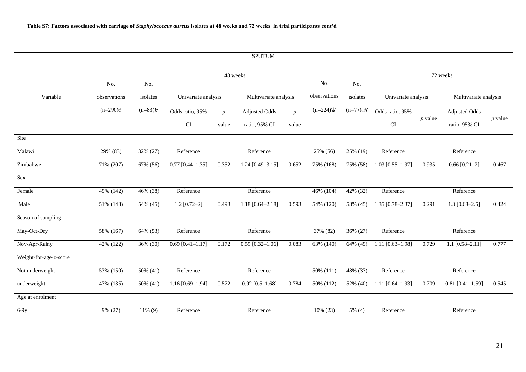|                        |              |                   |                      |                  | <b>SPUTUM</b>         |                  |                         |                        |                     |           |                       |           |
|------------------------|--------------|-------------------|----------------------|------------------|-----------------------|------------------|-------------------------|------------------------|---------------------|-----------|-----------------------|-----------|
|                        | No.          | No.               |                      | 48 weeks         |                       |                  | No.                     | No.                    |                     |           | 72 weeks              |           |
| Variable               | observations | isolates          | Univariate analysis  |                  | Multivariate analysis |                  | observations            | isolates               | Univariate analysis |           | Multivariate analysis |           |
|                        | $(n=290)3$   | $(n=83)$ $\theta$ | Odds ratio, 95%      | $\boldsymbol{p}$ | <b>Adjusted Odds</b>  | $\boldsymbol{p}$ | $(n=224)\Psi$           | $(n=77)$ $\mathcal{M}$ | Odds ratio, 95%     |           | <b>Adjusted Odds</b>  |           |
|                        |              |                   | <b>CI</b>            | value            | ratio, 95% CI         | value            |                         |                        | CI                  | $p$ value | ratio, 95% CI         | $p$ value |
| Site                   |              |                   |                      |                  |                       |                  |                         |                        |                     |           |                       |           |
| Malawi                 | 29% (83)     | 32% (27)          | Reference            |                  | Reference             |                  | $\overline{25\%}$ (56)  | 25% (19)               | Reference           |           | Reference             |           |
| Zimbabwe               | 71% (207)    | 67% (56)          | $0.77$ [0.44-1.35]   | 0.352            | $1.24$ [0.49-3.15]    | 0.652            | 75% (168)               | 75% (58)               | $1.03$ [0.55-1.97]  | 0.935     | $0.66$ [0.21-2]       | 0.467     |
| Sex                    |              |                   |                      |                  |                       |                  |                         |                        |                     |           |                       |           |
| Female                 | 49% (142)    | 46% (38)          | Reference            |                  | Reference             |                  | 46% (104)               | 42% (32)               | Reference           |           | Reference             |           |
| Male                   | 51% (148)    | 54% (45)          | $1.2$ [0.72-2]       | 0.493            | $1.18$ [0.64-2.18]    | 0.593            | 54% (120)               | 58% (45)               | $1.35$ [0.78-2.37]  | 0.291     | $1.3$ [0.68-2.5]      | 0.424     |
| Season of sampling     |              |                   |                      |                  |                       |                  |                         |                        |                     |           |                       |           |
| May-Oct-Dry            | 58% (167)    | 64% (53)          | Reference            |                  | Reference             |                  | 37% (82)                | 36% (27)               | Reference           |           | Reference             |           |
| Nov-Apr-Rainy          | 42% (122)    | 36% (30)          | $0.69$ [0.41-1.17]   | 0.172            | $0.59$ [0.32-1.06]    | 0.083            | 63% (140)               | 64% (49)               | $1.11$ [0.63-1.98]  | 0.729     | 1.1 $[0.58 - 2.11]$   | 0.777     |
| Weight-for-age-z-score |              |                   |                      |                  |                       |                  |                         |                        |                     |           |                       |           |
| Not underweight        | 53% (150)    | 50% (41)          | Reference            |                  | Reference             |                  | 50% (111)               | 48% (37)               | Reference           |           | Reference             |           |
| underweight            | 47% (135)    | 50% (41)          | 1.16 $[0.69 - 1.94]$ | 0.572            | $0.92$ [0.5-1.68]     | 0.784            | $\overline{50\%}$ (112) | 52% (40)               | $1.11$ [0.64-1.93]  | 0.709     | $0.81$ [0.41-1.59]    | 0.545     |
| Age at enrolment       |              |                   |                      |                  |                       |                  |                         |                        |                     |           |                       |           |
| $6-9y$                 | 9% (27)      | $11\%$ (9)        | Reference            |                  | Reference             |                  | 10% (23)                | $5\%$ (4)              | Reference           |           | Reference             |           |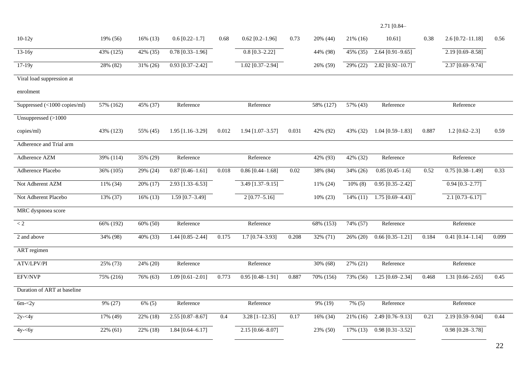# 2.71 [0.84–

| $10-12y$                     | 19% (56)    | $16\%$ (13) | $0.6$ [0.22-1.7]     | 0.68  | $0.62$ [0.2-1.96]  | 0.73  | 20% (44)    | 21% (16)    | $10.61$ ]                     | 0.38  | $2.6$ [0.72-11.18]   | 0.56  |
|------------------------------|-------------|-------------|----------------------|-------|--------------------|-------|-------------|-------------|-------------------------------|-------|----------------------|-------|
| $\overline{13-16y}$          | 43% (125)   | 42% (35)    | $0.78$ [0.33-1.96]   |       | $0.8$ [0.3-2.22]   |       | 44% (98)    | 45% (35)    | $2.64$ [0.91-9.65]            |       | $2.19 [0.69 - 8.58]$ |       |
| $\frac{1}{7-19y}$            | 28% (82)    | 31% (26)    | $0.93$ [0.37-2.42]   |       | $1.02$ [0.37-2.94] |       | 26% (59)    | 29% (22)    | $2.82$ [0.92-10.7]            |       | $2.37$ [0.69-9.74]   |       |
| Viral load suppression at    |             |             |                      |       |                    |       |             |             |                               |       |                      |       |
| enrolment                    |             |             |                      |       |                    |       |             |             |                               |       |                      |       |
| Suppressed (<1000 copies/ml) | 57% (162)   | 45% (37)    | Reference            |       | Reference          |       | 58% (127)   | 57% (43)    | Reference                     |       | Reference            |       |
| Unsuppressed (>1000          |             |             |                      |       |                    |       |             |             |                               |       |                      |       |
| copies/ml)                   | 43% (123)   | 55% (45)    | $1.95$ [1.16-3.29]   | 0.012 | $1.94$ [1.07-3.57] | 0.031 | 42% (92)    | 43% (32)    | $1.04$ [0.59-1.83]            | 0.887 | $1.2$ [0.62-2.3]     | 0.59  |
| Adherence and Trial arm      |             |             |                      |       |                    |       |             |             |                               |       |                      |       |
| Adherence AZM                | 39% (114)   | 35% (29)    | Reference            |       | Reference          |       | 42% (93)    | 42% (32)    | Reference                     |       | Reference            |       |
| Adherence Placebo            | 36% (105)   | 29% (24)    | $0.87$ [0.46-1.61]   | 0.018 | $0.86$ [0.44-1.68] | 0.02  | 38% (84)    | 34% (26)    | $0.85$ [0.45-1.6]             | 0.52  | $0.75$ [0.38-1.49]   | 0.33  |
| Not Adherent AZM             | 11% (34)    | 20% (17)    | 2.93 [1.33-6.53]     |       | 3.49 [1.37-9.15]   |       | $11\% (24)$ | $10\%$ (8)  | $0.95$ [0.35-2.42]            |       | $0.94$ [0.3-2.77]    |       |
| Not Adherent Placebo         | 13% (37)    | $16\%$ (13) | $1.59$ [0.7-3.49]    |       | $2[0.77 - 5.16]$   |       | 10% (23)    | $14\%$ (11) | $\overline{1.75}$ [0.69-4.43] |       | $2.1$ [0.73-6.17]    |       |
| MRC dyspnoea score           |             |             |                      |       |                    |       |             |             |                               |       |                      |       |
| $\lt 2$                      | 66% (192)   | 60% (50)    | Reference            |       | Reference          |       | 68% (153)   | 74% (57)    | Reference                     |       | Reference            |       |
| 2 and above                  | 34% (98)    | 40% (33)    | 1.44 [0.85-2.44]     | 0.175 | $1.7$ [0.74-3.93]  | 0.208 | 32% (71)    | 26% (20)    | $0.66$ [0.35-1.21]            | 0.184 | $0.41$ [0.14-1.14]   | 0.099 |
| ART regimen                  |             |             |                      |       |                    |       |             |             |                               |       |                      |       |
| ATV/LPV/PI                   | 25% (73)    | 24% (20)    | Reference            |       | Reference          |       | 30% (68)    | 27% (21)    | Reference                     |       | Reference            |       |
| EFV/NVP                      | 75% (216)   | 76% (63)    | 1.09 $[0.61 - 2.01]$ | 0.773 | $0.95$ [0.48-1.91] | 0.887 | 70% (156)   | 73% (56)    | 1.25 $[0.69 - 2.34]$          | 0.468 | 1.31 $[0.66 - 2.65]$ | 0.45  |
| Duration of ART at baseline  |             |             |                      |       |                    |       |             |             |                               |       |                      |       |
| $6m - 2y$                    | 9% (27)     | $6\%$ (5)   | Reference            |       | Reference          |       | 9% (19)     | 7% (5)      | Reference                     |       | Reference            |       |
| $2y - 4y$                    | 17% (49)    | 22% (18)    | $2.55$ [0.87-8.67]   | 0.4   | $3.28$ [1-12.35]   | 0.17  | 16% (34)    | $21\%$ (16) | 2.49 [0.76-9.13]              | 0.21  | 2.19 [0.59-9.04]     | 0.44  |
| $4y - 6y$                    | $22\%$ (61) | 22% (18)    | $1.84$ [0.64-6.17]   |       | $2.15$ [0.66-8.07] |       | 23% (50)    | 17% (13)    | $0.98$ [0.31-3.52]            |       | $0.98$ [0.28-3.78]   |       |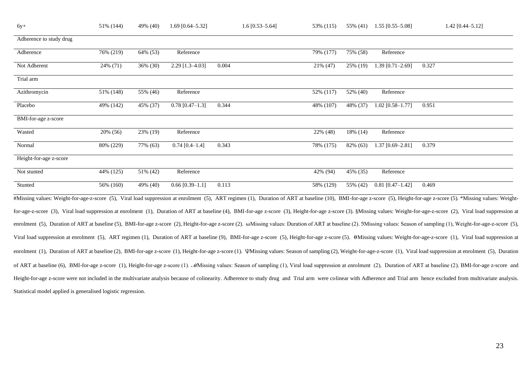| 76% (219)<br>64% (53) | Reference                                                                             |       | 79% (177) | 75% (58) | Reference          |                                                                                                                                                                                                                        |
|-----------------------|---------------------------------------------------------------------------------------|-------|-----------|----------|--------------------|------------------------------------------------------------------------------------------------------------------------------------------------------------------------------------------------------------------------|
| 36% (30)              | $2.29$ [1.3-4.03]                                                                     | 0.004 | 21\% (47) | 25% (19) | $1.39$ [0.71-2.69] | 0.327                                                                                                                                                                                                                  |
|                       |                                                                                       |       |           |          |                    |                                                                                                                                                                                                                        |
| 55% (46)              | Reference                                                                             |       | 52% (117) | 52% (40) | Reference          |                                                                                                                                                                                                                        |
| 45% (37)              | $0.78$ [0.47-1.3]                                                                     | 0.344 | 48% (107) | 48% (37) | $1.02$ [0.58-1.77] | 0.951                                                                                                                                                                                                                  |
|                       |                                                                                       |       |           |          |                    |                                                                                                                                                                                                                        |
| 23% (19)              | Reference                                                                             |       | 22% (48)  | 18% (14) | Reference          |                                                                                                                                                                                                                        |
| 77% (63)              | $0.74$ [0.4-1.4]                                                                      | 0.343 | 78% (175) | 82% (63) | $1.37$ [0.69-2.81] | 0.379                                                                                                                                                                                                                  |
|                       |                                                                                       |       |           |          |                    |                                                                                                                                                                                                                        |
| 51% (42)              | Reference                                                                             |       | 42% (94)  | 45% (35) | Reference          |                                                                                                                                                                                                                        |
| 49% (40)              | $0.66$ [0.39-1.1]                                                                     | 0.113 | 58% (129) | 55% (42) | $0.81$ [0.47-1.42] | 0.469                                                                                                                                                                                                                  |
|                       | 24% (71)<br>51% (148)<br>49% (142)<br>20% (56)<br>80% (229)<br>44% (125)<br>56% (160) |       |           |          |                    | #Missing values: Weight-for-age-z-score (5), Viral load suppression at enrolment (5), ART regimen (1), Duration of ART at baseline (10), BMI-for-age z-score (5), Height-for-age z-score (5). *Missing values: Weight- |

for-age-z-score (3), Viral load suppression at enrolment (1), Duration of ART at baseline (4), BMI-for-age z-score (3), Height-for-age z-score (3). §Missing values: Weight-for-age-z-score (2), Viral load suppression at enrolment (5), Duration of ART at baseline (5), BMI-for-age z-score (2), Height-for-age z-score (2). ωMissing values: Duration of ART at baseline (2). 3Missing values: Season of sampling (1), Weight-for-age-z-score (5), Viral load suppression at enrolment (5), ART regimen (1), Duration of ART at baseline (9), BMI-for-age z-score (5), Height-for-age z-score (5).  $\theta$ Missing values: Weight-for-age-z-score (1), Viral load suppression at enrolment (1), Duration of ART at baseline (2), BMI-for-age z-score (1), Height-for-age z-score (1). *VMissing values: Season of sampling (2)*, Weight-for-age-z-score (1), Viral load suppression at enrolment (5), Duration of ART at baseline (6), BMI-for-age z-score (1), Height-for-age z-score (1). *M*Missing values: Season of sampling (1), Viral load suppression at enrolment (2), Duration of ART at baseline (2). BMI-for-age z-score and Height-for-age z-score were not included in the multivariate analysis because of colinearity. Adherence to study drug and Trial arm were colinear with Adherence and Trial arm hence excluded from multivariate analysis. Statistical model applied is generalised logistic regression.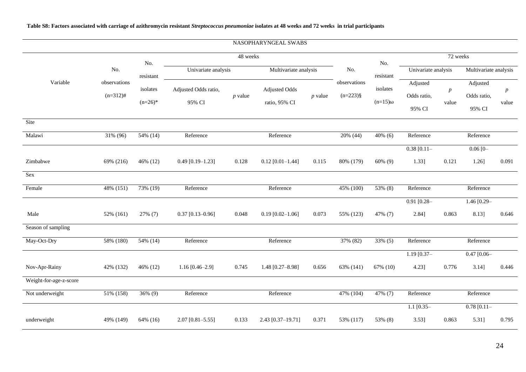# **Table S8: Factors associated with carriage of azithromycin resistant** *Streptococcus pneumoniae* **isolates at 48 weeks and 72 weeks in trial participants**

|                        |                             |                       |                                |           | NASOPHARYNGEAL SWABS                  |           |                            |                            |                                   |                           |                                   |                           |
|------------------------|-----------------------------|-----------------------|--------------------------------|-----------|---------------------------------------|-----------|----------------------------|----------------------------|-----------------------------------|---------------------------|-----------------------------------|---------------------------|
|                        |                             | No.                   |                                | 48 weeks  |                                       |           |                            | No.                        |                                   | 72 weeks                  |                                   |                           |
|                        | No.                         | resistant             | Univariate analysis            |           | Multivariate analysis                 |           | No.                        | resistant                  | Univariate analysis               |                           | Multivariate analysis             |                           |
| Variable               | observations<br>$(n=312)$ # | isolates<br>$(n=26)*$ | Adjusted Odds ratio,<br>95% CI | $p$ value | <b>Adjusted Odds</b><br>ratio, 95% CI | $p$ value | observations<br>$(n=223)\$ | isolates<br>$(n=15)\omega$ | Adjusted<br>Odds ratio,<br>95% CI | $\boldsymbol{p}$<br>value | Adjusted<br>Odds ratio,<br>95% CI | $\boldsymbol{p}$<br>value |
| Site                   |                             |                       |                                |           |                                       |           |                            |                            |                                   |                           |                                   |                           |
| Malawi                 | 31% (96)                    | 54% (14)              | Reference                      |           | Reference                             |           | 20% (44)                   | $40\%$ (6)                 | Reference                         |                           | Reference                         |                           |
|                        |                             |                       |                                |           |                                       |           |                            |                            | $0.38$ [0.11-                     |                           | $0.06$ [0-                        |                           |
| Zimbabwe               | 69% (216)                   | 46% (12)              | $0.49$ [0.19-1.23]             | 0.128     | $0.12$ [0.01-1.44]                    | 0.115     | 80% (179)                  | $60\%$ (9)                 | 1.33]                             | 0.121                     | $1.26$ ]                          | 0.091                     |
| Sex                    |                             |                       |                                |           |                                       |           |                            |                            |                                   |                           |                                   |                           |
| Female                 | 48% (151)                   | 73% (19)              | Reference                      |           | Reference                             |           | 45% (100)                  | 53% (8)                    | Reference                         |                           | Reference                         |                           |
|                        |                             |                       |                                |           |                                       |           |                            |                            | $0.91$ [0.28-                     |                           | 1.46 [0.29-                       |                           |
| Male                   | 52% (161)                   | 27% (7)               | $0.37$ [0.13-0.96]             | 0.048     | $0.19$ [0.02-1.06]                    | 0.073     | 55% (123)                  | 47% (7)                    | 2.84]                             | 0.863                     | 8.13]                             | 0.646                     |
| Season of sampling     |                             |                       |                                |           |                                       |           |                            |                            |                                   |                           |                                   |                           |
| May-Oct-Dry            | 58% (180)                   | 54% (14)              | Reference                      |           | Reference                             |           | 37% (82)                   | 33% (5)                    | Reference                         |                           | Reference                         |                           |
|                        |                             |                       |                                |           |                                       |           |                            |                            | $1.19$ [0.37-                     |                           | $0.47$ [0.06-                     |                           |
| Nov-Apr-Rainy          | 42% (132)                   | 46% (12)              | $1.16$ [0.46-2.9]              | 0.745     | 1.48 [0.27-8.98]                      | 0.656     | 63% (141)                  | 67% (10)                   | 4.23]                             | 0.776                     | 3.14]                             | 0.446                     |
| Weight-for-age-z-score |                             |                       |                                |           |                                       |           |                            |                            |                                   |                           |                                   |                           |
| Not underweight        | 51% (158)                   | $36\%$ (9)            | Reference                      |           | Reference                             |           | 47% (104)                  | 47% (7)                    | Reference                         |                           | Reference                         |                           |
|                        |                             |                       |                                |           |                                       |           |                            |                            | $1.1$ [0.35-                      |                           | $0.78$ [0.11-                     |                           |
| underweight            | 49% (149)                   | 64% (16)              | $2.07$ [0.81-5.55]             | 0.133     | 2.43 [0.37-19.71]                     | 0.371     | 53% (117)                  | 53% (8)                    | 3.53]                             | 0.863                     | 5.31]                             | 0.795                     |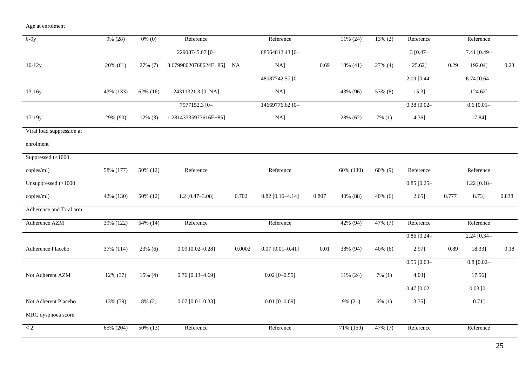Age at enrolment

| $6-9y$                    | 9% (28)   | $0\%$ (0)  | Reference             |        | Reference          |          | 11% (24)    | $13\% (2)$ | Reference     |       | Reference      |          |
|---------------------------|-----------|------------|-----------------------|--------|--------------------|----------|-------------|------------|---------------|-------|----------------|----------|
|                           |           |            | 22908745.07 [0-       |        | 68564812.43 [0-    |          |             |            | $3[0.47-$     |       | $7.41 [0.49 -$ |          |
| $10-12y$                  | 20% (61)  | 27% (7)    | 3.67998020768624E+85] | NA     | NA]                | 0.69     | $18\%$ (41) | 27% (4)    | 25.62]        | 0.29  | 192.04]        | 0.23     |
|                           |           |            |                       |        | 48087742.57 [0-    |          |             |            | $2.09$ [0.44- |       | $6.74$ [0.64-  |          |
| $13-16y$                  | 43% (133) | 62% (16)   | 24311321.3 [0-NA]     |        | NA]                |          | 43% (96)    | 53% (8)    | 15.3]         |       | 124.62]        |          |
|                           |           |            | 7977152.3 [0-         |        | 14669776.62 [0-    |          |             |            | $0.38$ [0.02- |       | 0.6 [0.01]     |          |
| 17-19y                    | 29% (90)  | $12\%$ (3) | 1.28143335973616E+85] |        | NA]                |          | 28% (62)    | $7\%$ (1)  | 4.36]         |       | 17.84]         |          |
| Viral load suppression at |           |            |                       |        |                    |          |             |            |               |       |                |          |
| enrolment                 |           |            |                       |        |                    |          |             |            |               |       |                |          |
| Suppressed (<1000         |           |            |                       |        |                    |          |             |            |               |       |                |          |
| copies/ml)                | 58% (177) | 50% (12)   | Reference             |        | Reference          |          | 60% (130)   | 60% (9)    | Reference     |       | Reference      |          |
| Unsuppressed $(>1000$     |           |            |                       |        |                    |          |             |            | $0.85$ [0.25- |       | $1.22$ [0.18-  |          |
| copies/ml)                | 42% (130) | 50% (12)   | $1.2$ [0.47-3.08]     | 0.702  | $0.82$ [0.16-4.14] | 0.807    | 40% (88)    | $40\%$ (6) | $2.65$ ]      | 0.777 | 8.73]          | 0.838    |
| Adherence and Trial arm   |           |            |                       |        |                    |          |             |            |               |       |                |          |
| Adherence AZM             | 39% (122) | 54% (14)   | Reference             |        | Reference          |          | 42% (94)    | 47% (7)    | Reference     |       | Reference      |          |
|                           |           |            |                       |        |                    |          |             |            | $0.86$ [0.24- |       | $2.24 [0.34 -$ |          |
| Adherence Placebo         | 37% (114) | 23% (6)    | $0.09$ [0.02-0.28]    | 0.0002 | $0.07$ [0.01-0.41] | $0.01\,$ | 38% (94)    | $40\%$ (6) | 2.97]         | 0.89  | 18.33]         | $0.18\,$ |
|                           |           |            |                       |        |                    |          |             |            | $0.55$ [0.03- |       | $0.8$ [0.02-   |          |
| Not Adherent AZM          | 12% (37)  | $15\%$ (4) | $0.76$ [0.13-4.69]    |        | $0.02$ [0-0.55]    |          | 11% (24)    | $7\%$ (1)  | 4.03]         |       | 17.56]         |          |
|                           |           |            |                       |        |                    |          |             |            | $0.47$ [0.02- |       | $0.03$ [0-     |          |
| Not Adherent Placebo      | 13% (39)  | $8\%$ (2)  | $0.07$ [0.01-0.33]    |        | $0.01$ [0-0.09]    |          | 9% (21)     | $6\%$ (1)  | $3.35$ ]      |       | 0.71]          |          |
| MRC dyspnoea score        |           |            |                       |        |                    |          |             |            |               |       |                |          |
| $\rm < 2$                 | 65% (204) | 50% (13)   | Reference             |        | Reference          |          | 71% (159)   | 47% (7)    | Reference     |       | Reference      |          |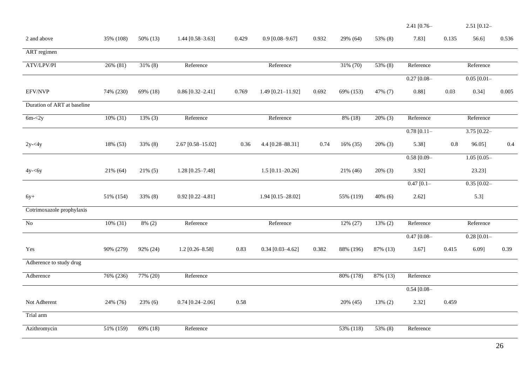|                             |           |            |                      |       |                       |       |             |            | 2.41 [0.76-    |       | $2.51$ [0.12-    |       |
|-----------------------------|-----------|------------|----------------------|-------|-----------------------|-------|-------------|------------|----------------|-------|------------------|-------|
| 2 and above                 | 35% (108) | 50% (13)   | 1.44 $[0.58 - 3.63]$ | 0.429 | $0.9$ [0.08-9.67]     | 0.932 | 29% (64)    | 53% (8)    | 7.83]          | 0.135 | 56.6]            | 0.536 |
| ART regimen                 |           |            |                      |       |                       |       |             |            |                |       |                  |       |
| ATV/LPV/PI                  | 26% (81)  | $31\%$ (8) | Reference            |       | Reference             |       | 31% (70)    | 53% (8)    | Reference      |       | Reference        |       |
|                             |           |            |                      |       |                       |       |             |            | $0.27$ [0.08-  |       | $0.05$ $[0.01 -$ |       |
| <b>EFV/NVP</b>              | 74% (230) | 69% (18)   | $0.86$ [0.32-2.41]   | 0.769 | 1.49 $[0.21 - 11.92]$ | 0.692 | 69% (153)   | 47% (7)    | 0.88]          | 0.03  | 0.34]            | 0.005 |
| Duration of ART at baseline |           |            |                      |       |                       |       |             |            |                |       |                  |       |
| $6m - 2y$                   | 10% (31)  | $13\%$ (3) | Reference            |       | Reference             |       | 8% (18)     | $20\%$ (3) | Reference      |       | Reference        |       |
|                             |           |            |                      |       |                       |       |             |            | $0.78$ [0.11-  |       | $3.75$ [0.22-    |       |
| $2y - 4y$                   | 18% (53)  | 33% (8)    | 2.67 [0.58-15.02]    | 0.36  | 4.4 [0.28-88.31]      | 0.74  | $16\%$ (35) | $20\%$ (3) | 5.38]          | 0.8   | 96.05]           | 0.4   |
|                             |           |            |                      |       |                       |       |             |            | $0.58$ [0.09-  |       | $1.05$ [0.05-    |       |
| $4y - 6y$                   | 21% (64)  | $21\%$ (5) | $1.28$ [0.25-7.48]   |       | $1.5$ [0.11-20.26]    |       | 21% (46)    | $20\%$ (3) | 3.92]          |       | 23.23]           |       |
|                             |           |            |                      |       |                       |       |             |            | $0.47$ [0.1-   |       | $0.35$ $[0.02 -$ |       |
| $6y+$                       | 51% (154) | 33% (8)    | $0.92$ [0.22-4.81]   |       | 1.94 [0.15-28.02]     |       | 55% (119)   | $40\%$ (6) | 2.62]          |       | $5.3$ ]          |       |
| Cotrimoxazole prophylaxis   |           |            |                      |       |                       |       |             |            |                |       |                  |       |
| $\rm No$                    | 10% (31)  | $8\%$ (2)  | Reference            |       | Reference             |       | 12% (27)    | 13% (2)    | Reference      |       | Reference        |       |
|                             |           |            |                      |       |                       |       |             |            | $0.47$ [0.08-  |       | $0.28$ [0.01-    |       |
| Yes                         | 90% (279) | 92% (24)   | $1.2$ [0.26-8.58]    | 0.83  | $0.34$ [0.03-4.62]    | 0.382 | 88% (196)   | 87% (13)   | 3.67]          | 0.415 | 6.09]            | 0.39  |
| Adherence to study drug     |           |            |                      |       |                       |       |             |            |                |       |                  |       |
| Adherence                   | 76% (236) | 77% (20)   | Reference            |       |                       |       | 80% (178)   | 87% (13)   | Reference      |       |                  |       |
|                             |           |            |                      |       |                       |       |             |            | $0.54 [0.08 -$ |       |                  |       |
| Not Adherent                | 24% (76)  | 23% (6)    | $0.74$ [0.24-2.06]   | 0.58  |                       |       | 20% (45)    | $13\%$ (2) | 2.32]          | 0.459 |                  |       |
| Trial arm                   |           |            |                      |       |                       |       |             |            |                |       |                  |       |
| Azithromycin                | 51% (159) | 69% (18)   | Reference            |       |                       |       | 53% (118)   | 53% (8)    | Reference      |       |                  |       |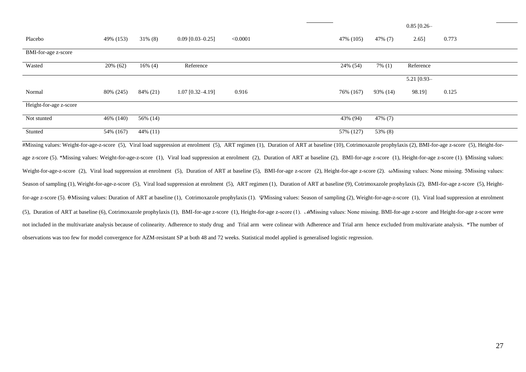|                        |           |            |                    |          |                                                                                                                                                                                                                |           | $0.85$ [0.26- |       |  |
|------------------------|-----------|------------|--------------------|----------|----------------------------------------------------------------------------------------------------------------------------------------------------------------------------------------------------------------|-----------|---------------|-------|--|
| Placebo                | 49% (153) | $31\%$ (8) | $0.09$ [0.03-0.25] | < 0.0001 | 47% (105)                                                                                                                                                                                                      | 47% (7)   | 2.65]         | 0.773 |  |
| BMI-for-age z-score    |           |            |                    |          |                                                                                                                                                                                                                |           |               |       |  |
| Wasted                 | 20% (62)  | $16\%$ (4) | Reference          |          | 24% (54)                                                                                                                                                                                                       | $7\%$ (1) | Reference     |       |  |
|                        |           |            |                    |          |                                                                                                                                                                                                                |           | 5.21 [0.93-   |       |  |
| Normal                 | 80% (245) | 84% (21)   | $1.07$ [0.32-4.19] | 0.916    | 76% (167)                                                                                                                                                                                                      | 93% (14)  | 98.19]        | 0.125 |  |
| Height-for-age z-score |           |            |                    |          |                                                                                                                                                                                                                |           |               |       |  |
| Not stunted            | 46% (140) | 56% (14)   |                    |          | 43% (94)                                                                                                                                                                                                       | 47% (7)   |               |       |  |
| Stunted                | 54% (167) | 44% (11)   |                    |          | 57% (127)                                                                                                                                                                                                      | 53% (8)   |               |       |  |
|                        |           |            |                    |          | #Missing values: Weight-for-age-z-score (5), Viral load suppression at enrolment (5), ART regimen (1), Duration of ART at baseline (10), Cotrimoxazole prophylaxis (2), BMI-for-age z-score (5), Height-for-   |           |               |       |  |
|                        |           |            |                    |          | age z-score (5). *Missing values: Weight-for-age-z-score (1), Viral load suppression at enrolment (2), Duration of ART at baseline (2), BMI-for-age z-score (1), Height-for-age z-score (1). §Missing values:  |           |               |       |  |
|                        |           |            |                    |          | Weight-for-age-z-score (2), Viral load suppression at enrolment (5), Duration of ART at baseline (5), BMI-for-age z-score (2), Height-for-age z-score (2). wMissing values: None missing. 3Missing values:     |           |               |       |  |
|                        |           |            |                    |          | Season of sampling (1), Weight-for-age-z-score (5), Viral load suppression at enrolment (5), ART regimen (1), Duration of ART at baseline (9), Cotrimoxazole prophylaxis (2), BMI-for-age z-score (5), Height- |           |               |       |  |
|                        |           |            |                    |          | for-age z-score (5). OMissing values: Duration of ART at baseline (1), Cotrimoxazole prophylaxis (1). Whissing values: Season of sampling (2), Weight-for-age-z-score (1), Viral load suppression at enrolment |           |               |       |  |

(5), Duration of ART at baseline (6), Cotrimoxazole prophylaxis (1), BMI-for-age z-score (1), Height-for-age z-score (1). ℳMissing values: None missing. BMI-for-age z-score and Height-for-age z-score were not included in the multivariate analysis because of colinearity. Adherence to study drug and Trial arm were colinear with Adherence and Trial arm hence excluded from multivariate analysis. \*The number of observations was too few for model convergence for AZM-resistant SP at both 48 and 72 weeks. Statistical model applied is generalised logistic regression.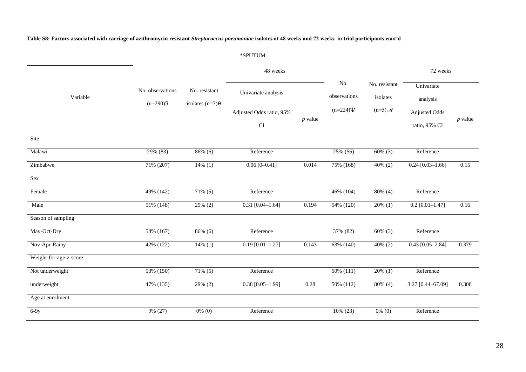**Table S8: Factors associated with carriage of azithromycin resistant** *Streptococcus pneumoniae* **isolates at 48 weeks and 72 weeks in trial participants cont'd**

# \*SPUTUM

|                        |                                | No. resistant<br>isolates $(n=7)$ $\Theta$ | 48 weeks                                               |           |                     |                           | 72 weeks                              |           |  |
|------------------------|--------------------------------|--------------------------------------------|--------------------------------------------------------|-----------|---------------------|---------------------------|---------------------------------------|-----------|--|
| Variable               | No. observations<br>$(n=290)3$ |                                            | Univariate analysis                                    |           | No.<br>observations | No. resistant<br>isolates | Univariate<br>analysis                |           |  |
|                        |                                |                                            | Adjusted Odds ratio, 95%<br>$\mathop{\rm CI}\nolimits$ | $p$ value | $(n=224)\Psi$       | $(n=5)$ M                 | <b>Adjusted Odds</b><br>ratio, 95% CI | $p$ value |  |
| Site                   |                                |                                            |                                                        |           |                     |                           |                                       |           |  |
| Malawi                 | 29% (83)                       | 86% (6)                                    | Reference                                              |           | 25% (56)            | $60\%$ (3)                | Reference                             |           |  |
| Zimbabwe               | 71% (207)                      | $14\%$ (1)                                 | $0.06$ [0-0.41]                                        | 0.014     | 75% (168)           | $40\%$ (2)                | $0.24$ [0.03-1.66]                    | 0.15      |  |
| <b>Sex</b>             |                                |                                            |                                                        |           |                     |                           |                                       |           |  |
| Female                 | 49% (142)                      | $71\%$ (5)                                 | Reference                                              |           | 46% (104)           | 80% (4)                   | Reference                             |           |  |
| Male                   | 51% (148)                      | $29\%$ (2)                                 | $0.31$ [0.04-1.64]                                     | 0.194     | 54% (120)           | $20\%$ (1)                | $0.2$ [0.01-1.47]                     | 0.16      |  |
| Season of sampling     |                                |                                            |                                                        |           |                     |                           |                                       |           |  |
| May-Oct-Dry            | $58\%~(167)$                   | 86% (6)                                    | Reference                                              |           | 37% (82)            | $60\%$ (3)                | Reference                             |           |  |
| Nov-Apr-Rainy          | 42% (122)                      | $14\%$ (1)                                 | $0.19$ [0.01-1.27]                                     | 0.143     | 63% (140)           | $40\%$ (2)                | $0.43$ [0.05-2.84]                    | 0.379     |  |
| Weight-for-age-z-score |                                |                                            |                                                        |           |                     |                           |                                       |           |  |
| Not underweight        | 53% (150)                      | $71\%$ (5)                                 | Reference                                              |           | 50% (111)           | $20\%$ (1)                | Reference                             |           |  |
| underweight            | 47% (135)                      | 29% (2)                                    | $0.38$ [0.05-1.99]                                     | $0.28\,$  | 50% (112)           | 80% (4)                   | 3.27 [0.44-67.09]                     | 0.308     |  |
| Age at enrolment       |                                |                                            |                                                        |           |                     |                           |                                       |           |  |
| $6-9y$                 | 9% (27)                        | $0\%$ (0)                                  | Reference                                              |           | 10% (23)            | $0\%$ (0)                 | Reference                             |           |  |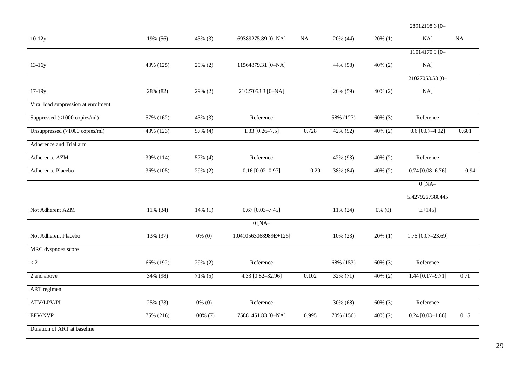28912198.6 [0–

| $10-12y$                                      | 19% (56)  | $43\%$ (3) | 69389275.89 [0-NA]    | <b>NA</b> | 20% (44)  | $20\%$ (1) | $NA$ ]               | NA       |
|-----------------------------------------------|-----------|------------|-----------------------|-----------|-----------|------------|----------------------|----------|
|                                               |           |            |                       |           |           |            | 11014170.9 [0-       |          |
| $13-16y$                                      | 43% (125) | 29% (2)    | 11564879.31 [0-NA]    |           | 44% (98)  | 40% (2)    | $NA$ ]               |          |
|                                               |           |            |                       |           |           |            | 21027053.53 [0-      |          |
| $17-19y$                                      | 28% (82)  | 29% (2)    | 21027053.3 [0-NA]     |           | 26% (59)  | 40% (2)    | $NA$ ]               |          |
| Viral load suppression at enrolment           |           |            |                       |           |           |            |                      |          |
| Suppressed $(\langle 1000 \text{ copies/ml})$ | 57% (162) | 43% (3)    | Reference             |           | 58% (127) | $60\%$ (3) | Reference            |          |
| Unsuppressed $(>1000$ copies/ml)              | 43% (123) | 57% (4)    | $1.33$ [0.26-7.5]     | 0.728     | 42% (92)  | 40% (2)    | $0.6$ [0.07-4.02]    | 0.601    |
| Adherence and Trial arm                       |           |            |                       |           |           |            |                      |          |
| Adherence AZM                                 | 39% (114) | 57% (4)    | Reference             |           | 42% (93)  | $40\%$ (2) | Reference            |          |
| Adherence Placebo                             | 36% (105) | 29% (2)    | $0.16 [0.02 - 0.97]$  | 0.29      | 38% (84)  | 40% (2)    | $0.74 [0.08 - 6.76]$ | 0.94     |
|                                               |           |            |                       |           |           |            | $0$ [NA-             |          |
|                                               |           |            |                       |           |           |            | 5.4279267380445      |          |
| Not Adherent AZM                              | 11% (34)  | $14\%$ (1) | $0.67$ [0.03-7.45]    |           | 11% (24)  | $0\%$ (0)  | $E+145$ ]            |          |
|                                               |           |            | $0$ [NA-              |           |           |            |                      |          |
| Not Adherent Placebo                          | 13% (37)  | $0\%$ (0)  | 1.0410563068989E+126] |           | 10% (23)  | $20\%$ (1) | 1.75 [0.07-23.69]    |          |
| MRC dyspnoea score                            |           |            |                       |           |           |            |                      |          |
| $< 2\,$                                       | 66% (192) | 29% (2)    | Reference             |           | 68% (153) | $60\%$ (3) | Reference            |          |
| 2 and above                                   | 34% (98)  | $71\%$ (5) | 4.33 [0.82-32.96]     | 0.102     | 32% (71)  | $40\%$ (2) | 1.44 $[0.17 - 9.71]$ | 0.71     |
| ART regimen                                   |           |            |                       |           |           |            |                      |          |
| ATV/LPV/PI                                    | 25% (73)  | $0\%$ (0)  | Reference             |           | 30% (68)  | $60\%$ (3) | Reference            |          |
| EFV/NVP                                       | 75% (216) | 100% (7)   | 75881451.83 [0-NA]    | 0.995     | 70% (156) | 40% (2)    | $0.24$ [0.03-1.66]   | $0.15\,$ |
| Duration of ART at baseline                   |           |            |                       |           |           |            |                      |          |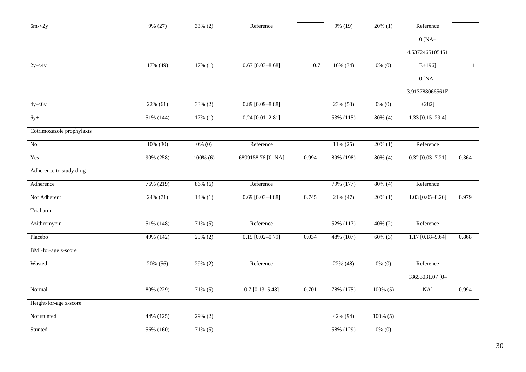| $6m - 2y$                  | 9% (27)   | 33% (2)     | Reference            |       | 9% (19)      | $20\%$ (1)  | Reference          |              |
|----------------------------|-----------|-------------|----------------------|-------|--------------|-------------|--------------------|--------------|
|                            |           |             |                      |       |              |             | $0$ [NA-           |              |
|                            |           |             |                      |       |              |             | 4.5372465105451    |              |
| $2y - 4y$                  | 17% (49)  | 17% (1)     | $0.67$ [0.03-8.68]   | 0.7   | 16% (34)     | $0\%$ (0)   | $E+196$ ]          | $\mathbf{1}$ |
|                            |           |             |                      |       |              |             | $0$ [NA-           |              |
|                            |           |             |                      |       |              |             | 3.913788066561E    |              |
| $4y - 6y$                  | 22% (61)  | 33% (2)     | $0.89$ [0.09-8.88]   |       | 23% (50)     | $0\%$ (0)   | $+282]$            |              |
| $6y+$                      | 51% (144) | $17\%$ (1)  | $0.24 [0.01 - 2.81]$ |       | $53\%$ (115) | 80% (4)     | $1.33$ [0.15-29.4] |              |
| Cotrimoxazole prophylaxis  |           |             |                      |       |              |             |                    |              |
| $\overline{No}$            | 10% (30)  | $0\%$ (0)   | Reference            |       | 11% (25)     | $20\%$ (1)  | Reference          |              |
| Yes                        | 90% (258) | $100\%$ (6) | 6899158.76 [0-NA]    | 0.994 | 89% (198)    | $80\%$ (4)  | $0.32$ [0.03-7.21] | 0.364        |
| Adherence to study drug    |           |             |                      |       |              |             |                    |              |
| Adherence                  | 76% (219) | $86\%$ (6)  | Reference            |       | 79% (177)    | $80\%$ (4)  | Reference          |              |
| Not Adherent               | 24% (71)  | $14\%$ (1)  | $0.69$ [0.03-4.88]   | 0.745 | 21% (47)     | $20\%$ (1)  | $1.03$ [0.05-8.26] | 0.979        |
| Trial arm                  |           |             |                      |       |              |             |                    |              |
| Azithromycin               | 51% (148) | $71\%$ (5)  | Reference            |       | 52% (117)    | $40\%$ (2)  | Reference          |              |
| Placebo                    | 49% (142) | $29\%$ (2)  | $0.15$ [0.02-0.79]   | 0.034 | 48% (107)    | $60\%$ (3)  | $1.17$ [0.18-9.64] | 0.868        |
| <b>BMI-for-age z-score</b> |           |             |                      |       |              |             |                    |              |
| Wasted                     | 20% (56)  | $29\%$ (2)  | Reference            |       | 22% (48)     | $0\%$ (0)   | Reference          |              |
|                            |           |             |                      |       |              |             | 18653031.07 [0-    |              |
| Normal                     | 80% (229) | $71\% (5)$  | $0.7$ [0.13-5.48]    | 0.701 | 78% (175)    | $100\%$ (5) | NA]                | 0.994        |
| Height-for-age z-score     |           |             |                      |       |              |             |                    |              |
| Not stunted                | 44% (125) | 29% (2)     |                      |       | 42% (94)     | $100\%$ (5) |                    |              |
| Stunted                    | 56% (160) | $71\%$ (5)  |                      |       | 58% (129)    | $0\%$ (0)   |                    |              |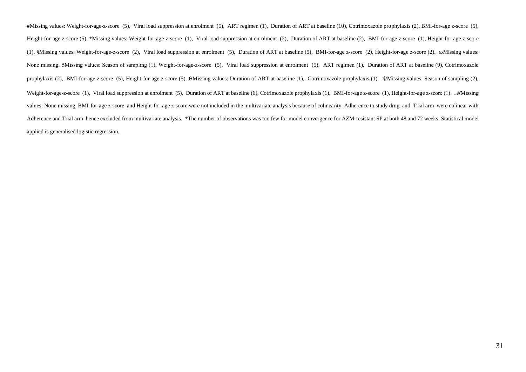#Missing values: Weight-for-age-z-score (5), Viral load suppression at enrolment (5), ART regimen (1), Duration of ART at baseline (10), Cotrimoxazole prophylaxis (2), BMI-for-age z-score (5), Height-for-age z-score (5). \*Missing values: Weight-for-age-z-score (1), Viral load suppression at enrolment (2), Duration of ART at baseline (2), BMI-for-age z-score (1), Height-for-age z-score (1). §Missing values: Weight-for-age-z-score (2), Viral load suppression at enrolment (5), Duration of ART at baseline (5), BMI-for-age z-score (2), Height-for-age z-score (2). ⍵Missing values: None missing. 3Missing values: Season of sampling (1), Weight-for-age-z-score (5), Viral load suppression at enrolment (5), ART regimen (1), Duration of ART at baseline (9), Cotrimoxazole prophylaxis (2), BMI-for-age z-score (5), Height-for-age z-score (5).  $\Theta$ Missing values: Duration of ART at baseline (1), Cotrimoxazole prophylaxis (1).  $\Psi$ Missing values: Season of sampling (2), Weight-for-age-z-score (1), Viral load suppression at enrolment (5), Duration of ART at baseline (6), Cotrimoxazole prophylaxis (1), BMI-for-age z-score (1), Height-for-age z-score (1). MMI-for-age z-score (1). *MMissing* values: None missing. BMI-for-age z-score and Height-for-age z-score were not included in the multivariate analysis because of colinearity. Adherence to study drug and Trial arm were colinear with Adherence and Trial arm hence excluded from multivariate analysis. \*The number of observations was too few for model convergence for AZM-resistant SP at both 48 and 72 weeks. Statistical model applied is generalised logistic regression.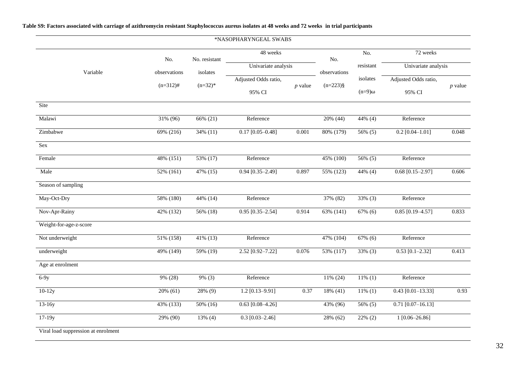|                                     |              |               | *NASOPHARYNGEAL SWABS |           |              |               |                      |           |
|-------------------------------------|--------------|---------------|-----------------------|-----------|--------------|---------------|----------------------|-----------|
|                                     | No.          | No. resistant | 48 weeks              |           | No.          | No.           | 72 weeks             |           |
| Variable                            | observations | isolates      | Univariate analysis   |           | observations | resistant     | Univariate analysis  |           |
|                                     | $(n=312)$ #  | $(n=32)*$     | Adjusted Odds ratio,  | $p$ value | $(n=223)$ §  | isolates      | Adjusted Odds ratio, | $p$ value |
|                                     |              |               | 95% CI                |           |              | $(n=9)\omega$ | 95% CI               |           |
| Site                                |              |               |                       |           |              |               |                      |           |
| Malawi                              | 31% (96)     | 66% (21)      | Reference             |           | 20% (44)     | 44% (4)       | Reference            |           |
| Zimbabwe                            | 69% (216)    | 34% (11)      | $0.17$ [0.05-0.48]    | 0.001     | 80% (179)    | 56% (5)       | $0.2$ [0.04-1.01]    | 0.048     |
| Sex                                 |              |               |                       |           |              |               |                      |           |
| Female                              | 48% (151)    | 53% (17)      | Reference             |           | 45% (100)    | 56% (5)       | Reference            |           |
| Male                                | 52% (161)    | 47% (15)      | $0.94$ [0.35-2.49]    | 0.897     | 55% (123)    | 44% (4)       | $0.68$ [0.15-2.97]   | 0.606     |
| Season of sampling                  |              |               |                       |           |              |               |                      |           |
| May-Oct-Dry                         | 58% (180)    | 44% (14)      | Reference             |           | 37% (82)     | 33% (3)       | Reference            |           |
| Nov-Apr-Rainy                       | 42% (132)    | 56% (18)      | $0.95$ [0.35-2.54]    | 0.914     | 63% (141)    | 67% (6)       | $0.85$ [0.19-4.57]   | 0.833     |
| Weight-for-age-z-score              |              |               |                       |           |              |               |                      |           |
| Not underweight                     | 51% (158)    | 41% (13)      | Reference             |           | 47% (104)    | 67% (6)       | Reference            |           |
| underweight                         | 49% (149)    | 59% (19)      | 2.52 [0.92-7.22]      | 0.076     | 53% (117)    | $33\%$ (3)    | $0.53$ [0.1-2.32]    | 0.413     |
| Age at enrolment                    |              |               |                       |           |              |               |                      |           |
| $6-9y$                              | 9% (28)      | $9\%$ (3)     | Reference             |           | 11% (24)     | $11\%$ (1)    | Reference            |           |
| $10-12y$                            | $20\%$ (61)  | 28% (9)       | $1.2$ [0.13-9.91]     | 0.37      | 18% (41)     | $11\%$ (1)    | $0.43$ [0.01-13.33]  | 0.93      |
| $13-16y$                            | 43% (133)    | 50% (16)      | $0.63$ [0.08-4.26]    |           | 43% (96)     | 56% (5)       | $0.71$ [0.07-16.13]  |           |
| $17-19y$                            | 29% (90)     | $13\%$ (4)    | $0.3$ [0.03-2.46]     |           | 28% (62)     | $22\%$ (2)    | $1 [0.06 - 26.86]$   |           |
| Viral load suppression at enrolment |              |               |                       |           |              |               |                      |           |

# **Table S9: Factors associated with carriage of azithromycin resistant Staphylococcus aureus isolates at 48 weeks and 72 weeks in trial participants**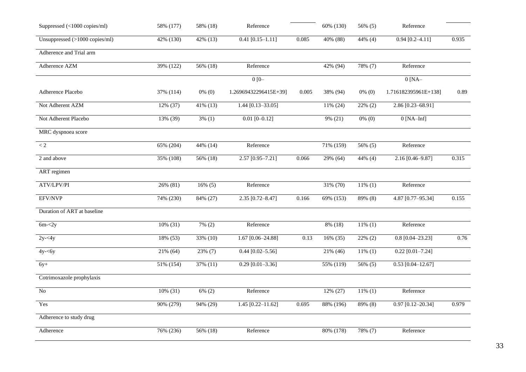| Suppressed (<1000 copies/ml)   | 58% (177)   | 58% (18)             | Reference             |       | 60% (130) | 56% (5)    | Reference            |       |
|--------------------------------|-------------|----------------------|-----------------------|-------|-----------|------------|----------------------|-------|
| Unsuppressed (>1000 copies/ml) | 42% (130)   | $42\%$ (13)          | $0.41$ [0.15-1.11]    | 0.085 | 40% (88)  | $44\%$ (4) | $0.94 [0.2 - 4.11]$  | 0.935 |
| Adherence and Trial arm        |             |                      |                       |       |           |            |                      |       |
| Adherence AZM                  | 39% (122)   | 56% (18)             | Reference             |       | 42% (94)  | 78% (7)    | Reference            |       |
|                                |             |                      | $0[0 -$               |       |           |            | $0$ [NA $-$          |       |
| Adherence Placebo              | 37% (114)   | $0\%$ (0)            | 1.26969432296415E+39] | 0.005 | 38% (94)  | $0\%$ (0)  | 1.716182395961E+138] | 0.89  |
| Not Adherent AZM               | 12% (37)    | $41\%$ (13)          | $1.44$ [0.13-33.05]   |       | 11% (24)  | $22\%$ (2) | $2.86$ [0.23-68.91]  |       |
| Not Adherent Placebo           | 13% (39)    | $3\%$ (1)            | $0.01$ [0-0.12]       |       | 9% (21)   | $0\%$ (0)  | $0$ [NA-Inf]         |       |
| MRC dyspnoea score             |             |                      |                       |       |           |            |                      |       |
| $\lt 2$                        | 65% (204)   | 44% (14)             | Reference             |       | 71% (159) | 56% (5)    | Reference            |       |
| 2 and above                    | 35% (108)   | $\frac{1}{56\%}(18)$ | $2.57$ [0.95-7.21]    | 0.066 | 29% (64)  | $44\%$ (4) | $2.16$ [0.46-9.87]   | 0.315 |
| ART regimen                    |             |                      |                       |       |           |            |                      |       |
| ATV/LPV/PI                     | 26% (81)    | $16\%$ (5)           | Reference             |       | 31% (70)  | $11\%$ (1) | Reference            |       |
| EFV/NVP                        | 74% (230)   | 84% (27)             | $2.35$ [0.72-8.47]    | 0.166 | 69% (153) | 89% (8)    | 4.87 [0.77-95.34]    | 0.155 |
| Duration of ART at baseline    |             |                      |                       |       |           |            |                      |       |
| $6m - 2y$                      | 10% (31)    | $7\% (2)$            | Reference             |       | 8% (18)   | $11\%$ (1) | Reference            |       |
| $2y - 4y$                      | 18% (53)    | 33% (10)             | 1.67 [0.06-24.88]     | 0.13  | 16% (35)  | $22\%$ (2) | $0.8$ [0.04-23.23]   | 0.76  |
| $\overline{4}y$ - $\lt$ 6y     | 21% (64)    | $23\%$ (7)           | $0.44$ [0.02-5.56]    |       | 21% (46)  | $11\%$ (1) | $0.22$ [0.01-7.24]   |       |
| $6y+$                          | 51% (154)   | 37% (11)             | $0.29$ [0.01-3.36]    |       | 55% (119) | 56% (5)    | $0.53$ [0.04-12.67]  |       |
| Cotrimoxazole prophylaxis      |             |                      |                       |       |           |            |                      |       |
| $\overline{No}$                | $10\%$ (31) | $6\%$ (2)            | Reference             |       | 12% (27)  | $11\%$ (1) | Reference            |       |
| Yes                            | 90% (279)   | 94% (29)             | $1.45$ [0.22-11.62]   | 0.695 | 88% (196) | 89% (8)    | $0.97$ [0.12-20.34]  | 0.979 |
| Adherence to study drug        |             |                      |                       |       |           |            |                      |       |
| Adherence                      | 76% (236)   | 56% (18)             | Reference             |       | 80% (178) | 78% (7)    | Reference            |       |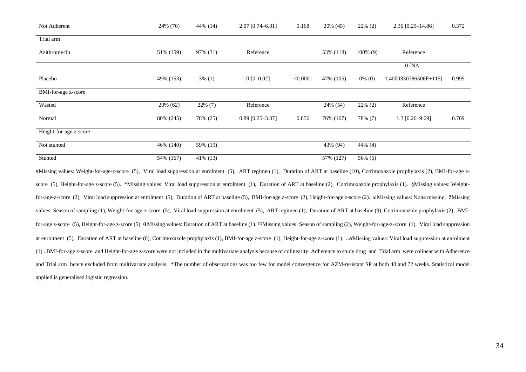| Not Adherent           | 24% (76)   | 44\% (14)  | $2.07$ [0.74-6.01] | 0.168    | 20% (45)  | $22\%$ (2)  | $2.36$ [0.29-14.86]   | 0.372 |
|------------------------|------------|------------|--------------------|----------|-----------|-------------|-----------------------|-------|
| Trial arm              |            |            |                    |          |           |             |                       |       |
| Azithromycin           | 51% (159)  | 97% (31)   | Reference          |          | 53% (118) | $100\%$ (9) | Reference             |       |
|                        |            |            |                    |          |           |             | $0$ [NA-              |       |
| Placebo                | 49% (153)  | $3\%$ (1)  | $0$ [0-0.02]       | < 0.0001 | 47% (105) | $0\%$ (0)   | 1.4000330786506E+115] | 0.995 |
| BMI-for-age z-score    |            |            |                    |          |           |             |                       |       |
| Wasted                 | 20% (62)   | $22\%$ (7) | Reference          |          | 24% (54)  | $22\%$ (2)  | Reference             |       |
| Normal                 | 80\% (245) | 78% (25)   | $0.89$ [0.25-3.07] | 0.856    | 76% (167) | 78% (7)     | $1.3$ [0.26-9.69]     | 0.769 |
| Height-for-age z-score |            |            |                    |          |           |             |                       |       |
| Not stunted            | 46% (140)  | 59% (19)   |                    |          | 43% (94)  | 44% (4)     |                       |       |
| Stunted                | 54% (167)  | 41\% (13)  |                    |          | 57% (127) | 56% (5)     |                       |       |

#Missing values: Weight-for-age-z-score (5), Viral load suppression at enrolment (5), ART regimen (1), Duration of ART at baseline (10), Cotrimoxazole prophylaxis (2), BMI-for-age zscore (5), Height-for-age z-score (5). \*Missing values: Viral load suppression at enrolment (1), Duration of ART at baseline (2), Cotrimoxazole prophylaxis (1). §Missing values: Weightfor-age-z-score (2), Viral load suppression at enrolment (5), Duration of ART at baseline (5), BMI-for-age z-score (2), Height-for-age z-score (2). ωMissing values: None missing. 3Missing values: Season of sampling (1), Weight-for-age-z-score (5), Viral load suppression at enrolment (5), ART regimen (1), Duration of ART at baseline (9), Cotrimoxazole prophylaxis (2), BMIfor-age z-score (5), Height-for-age z-score (5). �Missing values: Duration of ART at baseline (1). \/Missing values: Season of sampling (2), Weight-for-age-z-score (1), Viral load suppression at enrolment (5), Duration of ART at baseline (6), Cotrimoxazole prophylaxis (1), BMI-for-age z-score (1), Height-for-age z-score (1). *M*Missing values: Viral load suppression at enrolment (1) . BMI-for-age z-score and Height-for-age z-score were not included in the multivariate analysis because of colinearity. Adherence to study drug and Trial arm were colinear with Adherence and Trial arm hence excluded from multivariate analysis. \*The number of observations was too few for model convergence for AZM-resistant SP at both 48 and 72 weeks. Statistical model applied is generalised logistic regression.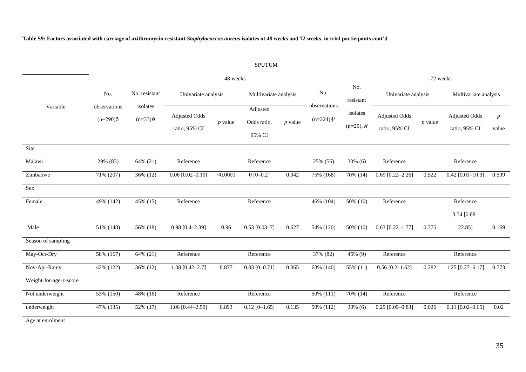**Table S9: Factors associated with carriage of azithromycin resistant** *Staphylococcus aureus* **isolates at 48 weeks and 72 weeks in trial participants cont'd**

# SPUTUM

|                        |                                   |                                                |                                       | 48 weeks  |                                   |           |                               | 72 weeks               |                                |           |                                       |                           |
|------------------------|-----------------------------------|------------------------------------------------|---------------------------------------|-----------|-----------------------------------|-----------|-------------------------------|------------------------|--------------------------------|-----------|---------------------------------------|---------------------------|
|                        | No.<br>observations<br>$(n=290)3$ | No. resistant<br>isolates<br>$(n=33)$ $\theta$ | Univariate analysis                   |           | Multivariate analysis             |           | No.                           | No.<br>resistant       | Univariate analysis            |           | Multivariate analysis                 |                           |
| Variable               |                                   |                                                | <b>Adjusted Odds</b><br>ratio, 95% CI | $p$ value | Adjusted<br>Odds ratio,<br>95% CI | $p$ value | observations<br>$(n=224)\Psi$ | isolates<br>$(n=20)$ M | Adjusted Odds<br>ratio, 95% CI | $p$ value | <b>Adjusted Odds</b><br>ratio, 95% CI | $\boldsymbol{p}$<br>value |
| Site                   |                                   |                                                |                                       |           |                                   |           |                               |                        |                                |           |                                       |                           |
| Malawi                 | 29% (83)                          | 64% (21)                                       | Reference                             |           | Reference                         |           | 25% (56)                      | $30\%$ (6)             | Reference                      |           | Reference                             |                           |
| Zimbabwe               | 71% (207)                         | 36% (12)                                       | $0.06$ [0.02-0.19]                    | < 0.0001  | $0[0-0.2]$                        | 0.042     | 75% (168)                     | 70% (14)               | $0.69$ [0.22-2.26]             | 0.522     | $0.42$ [0.01-10.3]                    | 0.599                     |
| Sex                    |                                   |                                                |                                       |           |                                   |           |                               |                        |                                |           |                                       |                           |
| Female                 | 49% (142)                         | 45% (15)                                       | Reference                             |           | Reference                         |           | 46% (104)                     | 50% (10)               | Reference                      |           | Reference                             |                           |
| Male                   | 51% (148)                         | 56% (18)                                       | $0.98$ [0.4-2.39]                     | 0.96      | $0.53$ [0.03-7]                   | 0.627     | 54% (120)                     | 50% (10)               | $0.63$ [0.22-1.77]             | 0.375     | 3.34 $[0.68 -$<br>22.85]              | 0.169                     |
| Season of sampling     |                                   |                                                |                                       |           |                                   |           |                               |                        |                                |           |                                       |                           |
| May-Oct-Dry            | 58% (167)                         | 64% (21)                                       | Reference                             |           | Reference                         |           | 37% (82)                      | 45% (9)                | Reference                      |           | Reference                             |                           |
| Nov-Apr-Rainy          | 42% (122)                         | 36% (12)                                       | $1.08$ [0.42-2.7]                     | 0.877     | $0.03$ [0-0.71]                   | 0.065     | 63% (140)                     | 55% (11)               | $0.56$ [0.2-1.62]              | 0.282     | $1.25$ [0.27-6.17]                    | 0.773                     |
| Weight-for-age-z-score |                                   |                                                |                                       |           |                                   |           |                               |                        |                                |           |                                       |                           |
| Not underweight        | 53% (150)                         | 48% (16)                                       | Reference                             |           | Reference                         |           | 50% (111)                     | 70% (14)               | Reference                      |           | Reference                             |                           |
| underweight            | 47% (135)                         | 52% (17)                                       | 1.06 $[0.44 - 2.59]$                  | 0.893     | $0.12$ [0-1.65]                   | 0.135     | 50% (112)                     | $30\%$ (6)             | $0.29$ [0.09-0.83]             | 0.026     | $0.11$ [0.02-0.65]                    | 0.02                      |
| Age at enrolment       |                                   |                                                |                                       |           |                                   |           |                               |                        |                                |           |                                       |                           |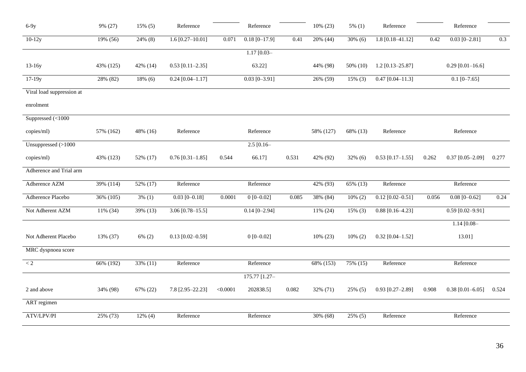| $6-9y$                    | 9% (27)   | $15\%$ (5) | Reference            |          | Reference       |       | 10% (23)  | $5\%$ (1)  | Reference          |       | Reference          |       |
|---------------------------|-----------|------------|----------------------|----------|-----------------|-------|-----------|------------|--------------------|-------|--------------------|-------|
| $10-12y$                  | 19% (56)  | 24% (8)    | $1.6 [0.27 - 10.01]$ | 0.071    | $0.18$ [0-17.9] | 0.41  | 20% (44)  | $30\%$ (6) | $1.8$ [0.18-41.12] | 0.42  | $0.03$ [0-2.81]    | 0.3   |
|                           |           |            |                      |          | $1.17$ [0.03-   |       |           |            |                    |       |                    |       |
| $13-16y$                  | 43% (125) | 42% (14)   | $0.53$ [0.11-2.35]   |          | 63.22]          |       | 44% (98)  | 50% (10)   | $1.2$ [0.13-25.87] |       | $0.29$ [0.01-16.6] |       |
| 17-19y                    | 28% (82)  | $18\%$ (6) | $0.24$ [0.04-1.17]   |          | $0.03$ [0-3.91] |       | 26% (59)  | $15\%$ (3) | $0.47$ [0.04-11.3] |       | $0.1$ [0-7.65]     |       |
| Viral load suppression at |           |            |                      |          |                 |       |           |            |                    |       |                    |       |
| enrolment                 |           |            |                      |          |                 |       |           |            |                    |       |                    |       |
| Suppressed $(<1000$       |           |            |                      |          |                 |       |           |            |                    |       |                    |       |
| copies/ml)                | 57% (162) | 48% (16)   | Reference            |          | Reference       |       | 58% (127) | 68% (13)   | Reference          |       | Reference          |       |
| Unsuppressed (>1000       |           |            |                      |          | $2.5$ [0.16-    |       |           |            |                    |       |                    |       |
| copies/ml)                | 43% (123) | 52% (17)   | $0.76$ [0.31-1.85]   | 0.544    | 66.17]          | 0.531 | 42% (92)  | $32\%$ (6) | $0.53$ [0.17-1.55] | 0.262 | $0.37$ [0.05-2.09] | 0.277 |
| Adherence and Trial arm   |           |            |                      |          |                 |       |           |            |                    |       |                    |       |
| Adherence AZM             | 39% (114) | 52% (17)   | Reference            |          | Reference       |       | 42% (93)  | 65% (13)   | Reference          |       | Reference          |       |
| Adherence Placebo         | 36% (105) | $3\%$ (1)  | $0.03$ [0-0.18]      | 0.0001   | $0[0 - 0.02]$   | 0.085 | 38% (84)  | $10\%$ (2) | $0.12$ [0.02-0.51] | 0.056 | $0.08$ [0-0.62]    | 0.24  |
| Not Adherent AZM          | 11% (34)  | 39% (13)   | $3.06$ [0.78-15.5]   |          | $0.14$ [0-2.94] |       | 11% (24)  | $15\%$ (3) | $0.88$ [0.16-4.23] |       | $0.59$ [0.02-9.91] |       |
|                           |           |            |                      |          |                 |       |           |            |                    |       | $1.14$ [0.08-      |       |
| Not Adherent Placebo      | 13% (37)  | $6\%$ (2)  | $0.13$ [0.02-0.59]   |          | $0[0-0.02]$     |       | 10% (23)  | $10\% (2)$ | $0.32$ [0.04-1.52] |       | 13.01]             |       |
| MRC dyspnoea score        |           |            |                      |          |                 |       |           |            |                    |       |                    |       |
| $\rm < 2$                 | 66% (192) | 33% (11)   | Reference            |          | Reference       |       | 68% (153) | 75% (15)   | Reference          |       | Reference          |       |
|                           |           |            |                      |          | 175.77 [1.27-   |       |           |            |                    |       |                    |       |
| 2 and above               | 34% (98)  | 67% (22)   | 7.8 [2.95-22.23]     | < 0.0001 | 202838.5]       | 0.082 | 32% (71)  | 25% (5)    | $0.93$ [0.27-2.89] | 0.908 | $0.38$ [0.01-6.05] | 0.524 |
| ART regimen               |           |            |                      |          |                 |       |           |            |                    |       |                    |       |
| ATV/LPV/PI                | 25% (73)  | $12\%$ (4) | Reference            |          | Reference       |       | 30% (68)  | 25% (5)    | Reference          |       | Reference          |       |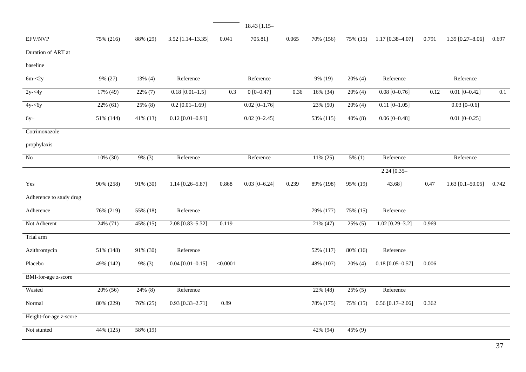|                         |             |            |                    |          | 18.43 [1.15-    |       |            |            |                    |       |                      |       |
|-------------------------|-------------|------------|--------------------|----------|-----------------|-------|------------|------------|--------------------|-------|----------------------|-------|
| EFV/NVP                 | 75% (216)   | 88% (29)   | 3.52 [1.14-13.35]  | 0.041    | 705.81]         | 0.065 | 70% (156)  | 75% (15)   | $1.17$ [0.38-4.07] | 0.791 | $1.39$ [0.27-8.06]   | 0.697 |
| Duration of ART at      |             |            |                    |          |                 |       |            |            |                    |       |                      |       |
| baseline                |             |            |                    |          |                 |       |            |            |                    |       |                      |       |
| $6m - 2y$               | 9% (27)     | $13\%$ (4) | Reference          |          | Reference       |       | $9\%$ (19) | $20\%$ (4) | Reference          |       | Reference            |       |
| $2y - 4y$               | 17% (49)    | $22\%$ (7) | $0.18$ [0.01-1.5]  | 0.3      | $0[0-0.47]$     | 0.36  | 16% (34)   | 20% (4)    | $0.08$ [0-0.76]    | 0.12  | $0.01$ [0-0.42]      | 0.1   |
| $4y - 6y$               | $22\%$ (61) | 25% (8)    | $0.2$ [0.01-1.69]  |          | $0.02$ [0-1.76] |       | 23% (50)   | 20% (4)    | $0.11$ [0-1.05]    |       | $0.03$ [0-0.6]       |       |
| $6y+$                   | 51% (144)   | 41% (13)   | $0.12$ [0.01-0.91] |          | $0.02$ [0-2.45] |       | 53% (115)  | 40% (8)    | $0.06$ [0-0.48]    |       | $0.01$ [0-0.25]      |       |
| Cotrimoxazole           |             |            |                    |          |                 |       |            |            |                    |       |                      |       |
| prophylaxis             |             |            |                    |          |                 |       |            |            |                    |       |                      |       |
| No                      | 10% (30)    | 9% (3)     | Reference          |          | Reference       |       | 11% (25)   | $5\%$ (1)  | Reference          |       | Reference            |       |
|                         |             |            |                    |          |                 |       |            |            | $2.24 [0.35 -$     |       |                      |       |
| Yes                     | 90% (258)   | 91% (30)   | $1.14$ [0.26-5.87] | 0.868    | $0.03$ [0-6.24] | 0.239 | 89% (198)  | 95% (19)   | 43.68]             | 0.47  | 1.63 $[0.1 - 50.05]$ | 0.742 |
| Adherence to study drug |             |            |                    |          |                 |       |            |            |                    |       |                      |       |
| Adherence               | 76% (219)   | 55% (18)   | Reference          |          |                 |       | 79% (177)  | 75% (15)   | Reference          |       |                      |       |
| Not Adherent            | 24% (71)    | 45% (15)   | 2.08 [0.83-5.32]   | 0.119    |                 |       | 21% (47)   | 25% (5)    | $1.02$ [0.29-3.2]  | 0.969 |                      |       |
| Trial arm               |             |            |                    |          |                 |       |            |            |                    |       |                      |       |
| Azithromycin            | 51% (148)   | 91% (30)   | Reference          |          |                 |       | 52% (117)  | 80% (16)   | Reference          |       |                      |       |
| Placebo                 | 49% (142)   | 9% (3)     | $0.04$ [0.01-0.15] | < 0.0001 |                 |       | 48% (107)  | 20% (4)    | $0.18$ [0.05-0.57] | 0.006 |                      |       |
| BMI-for-age z-score     |             |            |                    |          |                 |       |            |            |                    |       |                      |       |
| Wasted                  | 20% (56)    | 24% (8)    | Reference          |          |                 |       | 22% (48)   | 25% (5)    | Reference          |       |                      |       |
| Normal                  | 80% (229)   | 76% (25)   | $0.93$ [0.33-2.71] | 0.89     |                 |       | 78% (175)  | 75% (15)   | $0.56$ [0.17-2.06] | 0.362 |                      |       |
| Height-for-age z-score  |             |            |                    |          |                 |       |            |            |                    |       |                      |       |
| Not stunted             | 44% (125)   | 58% (19)   |                    |          |                 |       | 42% (94)   | 45% (9)    |                    |       |                      |       |